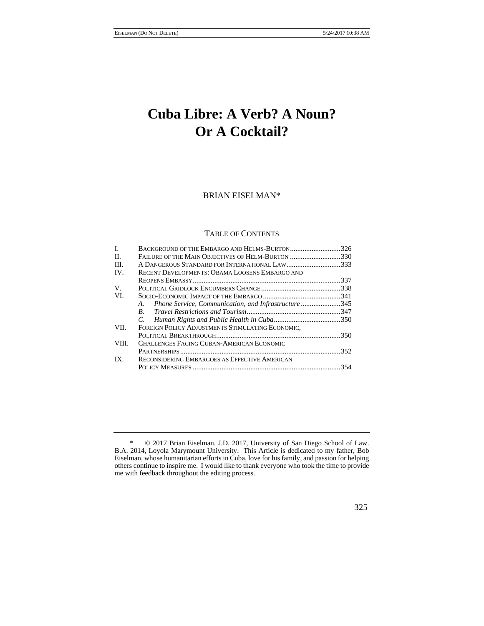# **Cuba Libre: A Verb? A Noun? Or A Cocktail?**

# BRIAN EISELMAN\*

#### TABLE OF CONTENTS

| I.    | BACKGROUND OF THE EMBARGO AND HELMS-BURTON326             |  |
|-------|-----------------------------------------------------------|--|
| II.   | FAILURE OF THE MAIN OBJECTIVES OF HELM-BURTON 330         |  |
| III.  | A DANGEROUS STANDARD FOR INTERNATIONAL LAW333             |  |
| IV.   | RECENT DEVELOPMENTS: OBAMA LOOSENS EMBARGO AND            |  |
|       |                                                           |  |
| V.    |                                                           |  |
| VI.   |                                                           |  |
|       | Phone Service, Communication, and Infrastructure345<br>A. |  |
|       |                                                           |  |
|       |                                                           |  |
| VII.  | FOREIGN POLICY ADJUSTMENTS STIMULATING ECONOMIC,          |  |
|       |                                                           |  |
| VIII. | CHALLENGES FACING CUBAN-AMERICAN ECONOMIC                 |  |
|       |                                                           |  |
| IX.   | RECONSIDERING EMBARGOES AS EFFECTIVE AMERICAN             |  |
|       |                                                           |  |

<sup>\* © 2017</sup> Brian Eiselman. J.D. 2017, University of San Diego School of Law. B.A. 2014, Loyola Marymount University. This Article is dedicated to my father, Bob Eiselman, whose humanitarian efforts in Cuba, love for his family, and passion for helping others continue to inspire me. I would like to thank everyone who took the time to provide me with feedback throughout the editing process.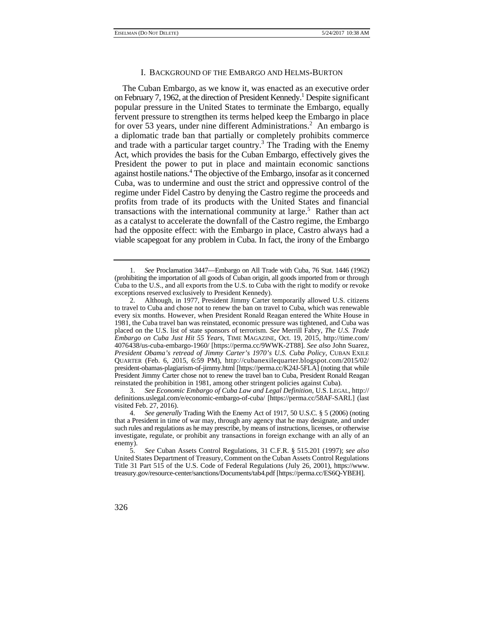### I. BACKGROUND OF THE EMBARGO AND HELMS-BURTON

The Cuban Embargo, as we know it, was enacted as an executive order on February 7, 1962, at the direction of President Kennedy.<sup>1</sup> Despite significant popular pressure in the United States to terminate the Embargo, equally fervent pressure to strengthen its terms helped keep the Embargo in place for over 53 years, under nine different Administrations.<sup>2</sup> An embargo is a diplomatic trade ban that partially or completely prohibits commerce and trade with a particular target country.<sup>3</sup> The Trading with the Enemy Act, which provides the basis for the Cuban Embargo, effectively gives the President the power to put in place and maintain economic sanctions against hostile nations.4 The objective of the Embargo, insofar as it concerned Cuba, was to undermine and oust the strict and oppressive control of the regime under Fidel Castro by denying the Castro regime the proceeds and profits from trade of its products with the United States and financial transactions with the international community at large.<sup>5</sup> Rather than act as a catalyst to accelerate the downfall of the Castro regime, the Embargo had the opposite effect: with the Embargo in place, Castro always had a viable scapegoat for any problem in Cuba. In fact, the irony of the Embargo

 (prohibiting the importation of all goods of Cuban origin, all goods imported from or through 1. *See* Proclamation 3447—Embargo on All Trade with Cuba, 76 Stat. 1446 (1962) Cuba to the U.S., and all exports from the U.S. to Cuba with the right to modify or revoke exceptions reserved exclusively to President Kennedy).

 President Jimmy Carter chose not to renew the travel ban to Cuba, President Ronald Reagan 2. Although, in 1977, President Jimmy Carter temporarily allowed U.S. citizens to travel to Cuba and chose not to renew the ban on travel to Cuba, which was renewable every six months. However, when President Ronald Reagan entered the White House in 1981, the Cuba travel ban was reinstated, economic pressure was tightened, and Cuba was placed on the U.S. list of state sponsors of terrorism. *See* Merrill Fabry, *The U.S. Trade Embargo on Cuba Just Hit 55 Years*, TIME MAGAZINE, Oct. 19, 2015, http://time.com/ 4076438/us-cuba-embargo-1960/ [https://perma.cc/9WWK-2T88]. *See also* John Suarez, *President Obama's retread of Jimmy Carter's 1970's U.S. Cuba Policy*, CUBAN EXILE QUARTER (Feb. 6, 2015, 6:59 PM), http://cubanexilequarter.blogspot.com/2015/02/ president-obamas-plagiarism-of-jimmy.html [https://perma.cc/K24J-5FLA] (noting that while reinstated the prohibition in 1981, among other stringent policies against Cuba).

<sup>3.</sup> *See Economic Embargo of Cuba Law and Legal Definition*, U.S. LEGAL, http:// definitions.uslegal.com/e/economic-embargo-of-cuba/ [https://perma.cc/58AF-SARL] (last visited Feb. 27, 2016).

 that a President in time of war may, through any agency that he may designate, and under 4. *See generally* Trading With the Enemy Act of 1917, 50 U.S.C. § 5 (2006) (noting such rules and regulations as he may prescribe, by means of instructions, licenses, or otherwise investigate, regulate, or prohibit any transactions in foreign exchange with an ally of an enemy).

<sup>5.</sup> *See* Cuban Assets Control Regulations, 31 C.F.R. § 515.201 (1997); *see also*  United States Department of Treasury, Comment on the Cuban Assets Control Regulations Title 31 Part 515 of the U.S. Code of Federal Regulations (July 26, 2001), https://www. treasury.gov/resource-center/sanctions/Documents/tab4.pdf [https://perma.cc/ES6Q-YBEH].

<sup>326</sup>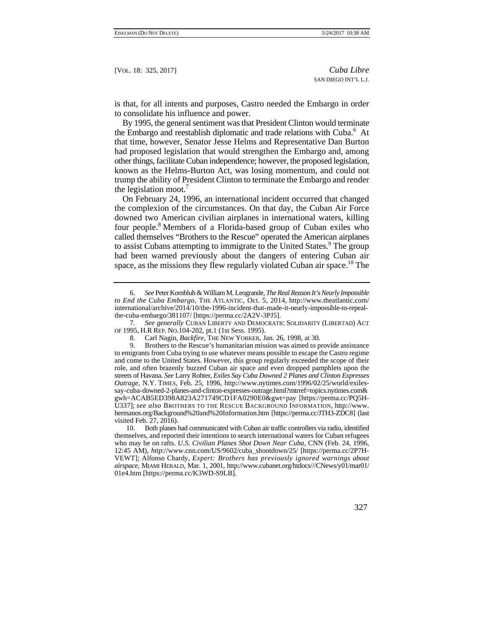is that, for all intents and purposes, Castro needed the Embargo in order to consolidate his influence and power.

the legislation moot.<sup>7</sup> By 1995, the general sentiment was that President Clinton would terminate the Embargo and reestablish diplomatic and trade relations with Cuba.<sup>6</sup> At that time, however, Senator Jesse Helms and Representative Dan Burton had proposed legislation that would strengthen the Embargo and, among other things, facilitate Cuban independence; however, the proposed legislation, known as the Helms-Burton Act, was losing momentum, and could not trump the ability of President Clinton to terminate the Embargo and render

On February 24, 1996, an international incident occurred that changed the complexion of the circumstances. On that day, the Cuban Air Force downed two American civilian airplanes in international waters, killing four people.8 Members of a Florida-based group of Cuban exiles who called themselves "Brothers to the Rescue" operated the American airplanes to assist Cubans attempting to immigrate to the United States.<sup>9</sup> The group had been warned previously about the dangers of entering Cuban air space, as the missions they flew regularly violated Cuban air space.<sup>10</sup> The

 OF 1995, H.R REP. NO.104-202, pt.1 (1st Sess. 1995). 7. *See generally* CUBAN LIBERTY AND DEMOCRATIC SOLIDARITY (LIBERTAD) ACT

 hermanos.org/Background%20and%20Information.htm [https://perma.cc/JTH3-ZDC8] (last 8. Carl Nagin, *Backfire*, THE NEW YORKER, Jan. 26, 1998, at 30.<br>9. Brothers to the Rescue's humanitarian mission was aimed to p Brothers to the Rescue's humanitarian mission was aimed to provide assistance to emigrants from Cuba trying to use whatever means possible to escape the Castro regime and come to the United States. However, this group regularly exceeded the scope of their role, and often brazenly buzzed Cuban air space and even dropped pamphlets upon the streets of Havana. *See* Larry Rohter, *Exiles Say Cuba Downed 2 Planes and Clinton Expresses Outrage*, N.Y. TIMES, Feb. 25, 1996, http://www.nytimes.com/1996/02/25/world/exilessay-cuba-downed-2-planes-and-clinton-expresses-outrage.html?mtrref=topics.nytimes.com& gwh=ACAB5ED398A823A271749CD1FA0290E0&gwt=pay [https://perma.cc/PQ5H-U337]; *see also* BROTHERS TO THE RESCUE BACKGROUND INFORMATION, http://www. visited Feb. 27, 2016).

10. Both planes had communicated with Cuban air traffic controllers via radio, identified themselves, and reported their intentions to search international waters for Cuban refugees who may be on rafts. *U.S. Civilian Planes Shot Down Near Cuba,* CNN (Feb. 24, 1996, 12:45 AM), *http*://www.cnn.com/US/9602/cuba\_shootdown/25/ [https://perma.cc/2P7H-VEWT]; Alfonso Chardy, *Expert: Brothers has previously ignored warnings about airspace*, MIAMI HERALD, Mar. 1, 2001, http://www.cubanet.org/htdocs///CNews/y01/mar01/ 01e4.htm [https://perma.cc/K3WD-S9LB].

<sup>6.</sup> *See* Peter Kornbluh & William M. Leogrande, *The Real Reason It's Nearly Impossible to End the Cuba Embargo*, THE ATLANTIC, Oct. 5, 2014, http://www.theatlantic.com/ international/archive/2014/10/the-1996-incident-that-made-it-nearly-impossible-to-repealthe-cuba-embargo/381107/ [https://perma.cc/2A2V-3PJ5].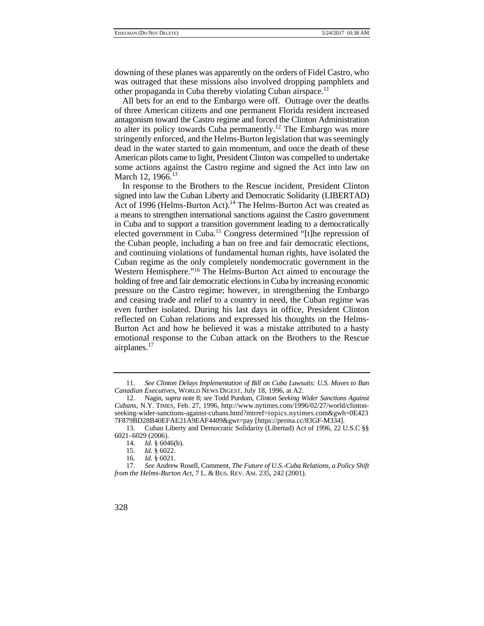downing of these planes was apparently on the orders of Fidel Castro, who was outraged that these missions also involved dropping pamphlets and other propaganda in Cuba thereby violating Cuban airspace.<sup>11</sup>

All bets for an end to the Embargo were off. Outrage over the deaths of three American citizens and one permanent Florida resident increased antagonism toward the Castro regime and forced the Clinton Administration to alter its policy towards Cuba permanently.<sup>12</sup> The Embargo was more stringently enforced, and the Helms-Burton legislation that was seemingly dead in the water started to gain momentum, and once the death of these American pilots came to light, President Clinton was compelled to undertake some actions against the Castro regime and signed the Act into law on March 12, 1966.<sup>13</sup>

 even further isolated. During his last days in office, President Clinton In response to the Brothers to the Rescue incident, President Clinton signed into law the Cuban Liberty and Democratic Solidarity (LIBERTAD) Act of 1996 (Helms-Burton Act).<sup>14</sup> The Helms-Burton Act was created as a means to strengthen international sanctions against the Castro government in Cuba and to support a transition government leading to a democratically elected government in Cuba.<sup>15</sup> Congress determined "[t]he repression of the Cuban people, including a ban on free and fair democratic elections, and continuing violations of fundamental human rights, have isolated the Cuban regime as the only completely nondemocratic government in the Western Hemisphere."16 The Helms-Burton Act aimed to encourage the holding of free and fair democratic elections in Cuba by increasing economic pressure on the Castro regime; however, in strengthening the Embargo and ceasing trade and relief to a country in need, the Cuban regime was reflected on Cuban relations and expressed his thoughts on the Helms-Burton Act and how he believed it was a mistake attributed to a hasty emotional response to the Cuban attack on the Brothers to the Rescue airplanes.<sup>17</sup>

 *from the Helms-Burton Act*, 7 L. & BUS. REV. AM. 235, 242 (2001). 17. *See* Andrew Rosell, Comment, *The Future of U.S.-Cuba Relations, a Policy Shift* 



 11. *See Clinton Delays Implementation of Bill on Cuba Lawsuits: U.S. Moves to Ban Canadian Executives*, WORLD NEWS DIGEST, July 18, 1996, at A2.

<sup>12.</sup>  12. Nagin, *supra* note 8; *see* Todd Purdum, *Clinton Seeking Wider Sanctions Against Cubans*, N.Y. TIMES, Feb. 27, 1996, http://www.nytimes.com/1996/02/27/world/clintonseeking-wider-sanctions-against-cubans.html?mtrref=topics.nytimes.com&gwh=0E423 7F879BD28B40EFAE21A9EAF4409&gwt=pay [https://perma.cc/83GF-M334].

<sup>13.</sup> Cuban Liberty and Democratic Solidarity (Libertad) Act of 1996, 22 U.S.C §§ 6021–6029 (2006).

<sup>14.</sup> *Id.* § 6046(b).

<sup>15.</sup> *Id.* § 6022.

<sup>16.</sup> *Id.* § 6021.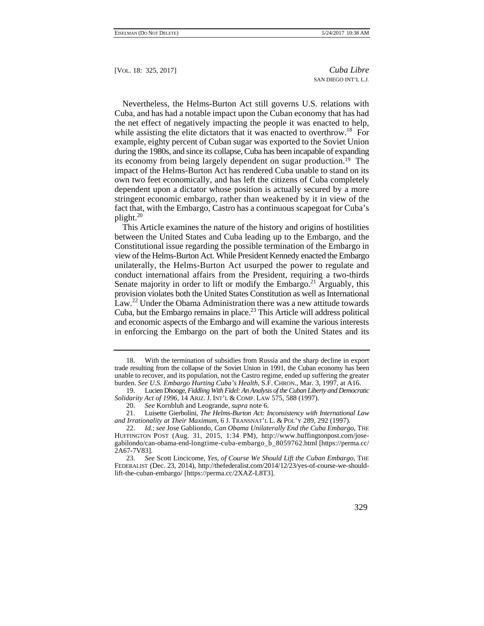its economy from being largely dependent on sugar production.19 The stringent economic embargo, rather than weakened by it in view of the Nevertheless, the Helms-Burton Act still governs U.S. relations with Cuba, and has had a notable impact upon the Cuban economy that has had the net effect of negatively impacting the people it was enacted to help, while assisting the elite dictators that it was enacted to overthrow.<sup>18</sup> For example, eighty percent of Cuban sugar was exported to the Soviet Union during the 1980s, and since its collapse, Cuba has been incapable of expanding impact of the Helms-Burton Act has rendered Cuba unable to stand on its own two feet economically, and has left the citizens of Cuba completely dependent upon a dictator whose position is actually secured by a more fact that, with the Embargo, Castro has a continuous scapegoat for Cuba's plight. $20$ 

 provision violates both the United States Constitution as well as International and economic aspects of the Embargo and will examine the various interests This Article examines the nature of the history and origins of hostilities between the United States and Cuba leading up to the Embargo, and the Constitutional issue regarding the possible termination of the Embargo in view of the Helms-Burton Act. While President Kennedy enacted the Embargo unilaterally, the Helms-Burton Act usurped the power to regulate and conduct international affairs from the President, requiring a two-thirds Senate majority in order to lift or modify the Embargo.<sup>21</sup> Arguably, this Law.<sup>22</sup> Under the Obama Administration there was a new attitude towards Cuba, but the Embargo remains in place.<sup>23</sup> This Article will address political in enforcing the Embargo on the part of both the United States and its

<sup>23.</sup> *See* Scott Lincicome, *Yes, of Course We Should Lift the Cuban Embargo*, THE FEDERALIST (Dec. 23, 2014), http://thefederalist.com/2014/12/23/yes-of-course-we-shouldlift-the-cuban-embargo/ [https://perma.cc/2XAZ-L8T3].



 trade resulting from the collapse of the Soviet Union in 1991, the Cuban economy has been 18. With the termination of subsidies from Russia and the sharp decline in export unable to recover, and its population, not the Castro regime, ended up suffering the greater burden. *See U.S. Embargo Hurting Cuba's Health*, S.F. CHRON., Mar. 3, 1997, at A16.

 19. Lucien Dhooge, *Fiddling With Fidel: An Analysis of the Cuban Liberty and Democratic Solidarity Act of 1996*, 14 ARIZ. J. INT'L & COMP. LAW 575, 588 (1997).

<sup>20.</sup> *See* Kornbluh and Leogrande, *supra* note 6.

<sup>21.</sup>  *and Irrationality at Their Maximum*, 6 J. TRANSNAT'L L. & POL'Y 289, 292 (1997). 21. Luisette Gierbolini, *The Helms-Burton Act: Inconsistency with International Law* 

<sup>22.</sup> *Id.*; *see* Jose Gabliondo, *Can Obama Unilaterally End the Cuba Embargo*, THE HUFFINGTON POST (Aug. 31, 2015, 1:34 PM), http://www.huffingtonpost.com/josegabilondo/can-obama-end-longtime-cuba-embargo\_b\_8059762.html [https://perma.cc/ 2A67-7V83].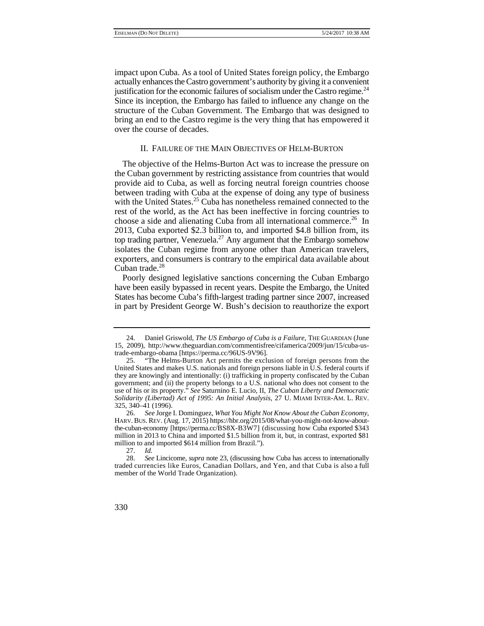Since its inception, the Embargo has failed to influence any change on the impact upon Cuba. As a tool of United States foreign policy, the Embargo actually enhances the Castro government's authority by giving it a convenient justification for the economic failures of socialism under the Castro regime.<sup>24</sup> structure of the Cuban Government. The Embargo that was designed to bring an end to the Castro regime is the very thing that has empowered it over the course of decades.

### II. FAILURE OF THE MAIN OBJECTIVES OF HELM-BURTON

The objective of the Helms-Burton Act was to increase the pressure on the Cuban government by restricting assistance from countries that would provide aid to Cuba, as well as forcing neutral foreign countries choose between trading with Cuba at the expense of doing any type of business with the United States.<sup>25</sup> Cuba has nonetheless remained connected to the rest of the world, as the Act has been ineffective in forcing countries to choose a side and alienating Cuba from all international commerce.<sup>26</sup> In 2013, Cuba exported \$2.3 billion to, and imported \$4.8 billion from, its top trading partner, Venezuela.<sup>27</sup> Any argument that the Embargo somehow isolates the Cuban regime from anyone other than American travelers, exporters, and consumers is contrary to the empirical data available about  $Cuban trade.<sup>28</sup>$ 

 States has become Cuba's fifth-largest trading partner since 2007, increased Poorly designed legislative sanctions concerning the Cuban Embargo have been easily bypassed in recent years. Despite the Embargo, the United in part by President George W. Bush's decision to reauthorize the export

 HARV. BUS. REV. (Aug. 17, 2015) https://hbr.org/2015/08/what-you-might-not-know-about- the-cuban-economy [https://perma.cc/BS8X-B3W7] (discussing how Cuba exported \$343 26. *See* Jorge I. Dominguez, *What You Might Not Know About the Cuban Economy*, million in 2013 to China and imported \$1.5 billion from it, but, in contrast, exported \$81 million to and imported \$614 million from Brazil.").

<sup>24.</sup> Daniel Griswold, *The US Embargo of Cuba is a Failure*, THE GUARDIAN (June 15, 2009), http://www.theguardian.com/commentisfree/cifamerica/2009/jun/15/cuba-ustrade-embargo-obama [https://perma.cc/96US-9V96].

 they are knowingly and intentionally: (i) trafficking in property confiscated by the Cuban *Solidarity (Libertad) Act of 1995: An Initial Analysis*, 27 U. MIAMI INTER-AM. L. REV. 25. "The Helms-Burton Act permits the exclusion of foreign persons from the United States and makes U.S. nationals and foreign persons liable in U.S. federal courts if government; and (ii) the property belongs to a U.S. national who does not consent to the use of his or its property." *See* Saturnino E. Lucio, II, *The Cuban Liberty and Democratic*  325, 340–41 (1996).

<sup>27.</sup> *Id.*

 traded currencies like Euros, Canadian Dollars, and Yen, and that Cuba is also a full 28. *See* Lincicome, *supra* note 23, (discussing how Cuba has access to internationally member of the World Trade Organization).

<sup>330</sup>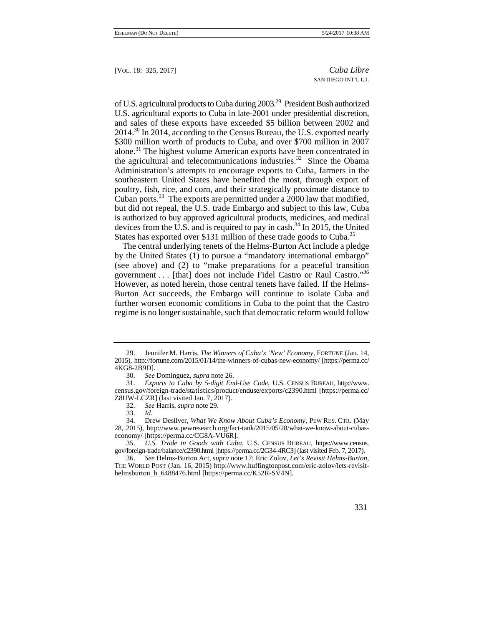Cuban ports.<sup>33</sup> The exports are permitted under a  $2000$  law that modified, is authorized to buy approved agricultural products, medicines, and medical of U.S. agricultural products to Cuba during 2003.29 President Bush authorized U.S. agricultural exports to Cuba in late-2001 under presidential discretion, and sales of these exports have exceeded \$5 billion between 2002 and 2014.<sup>30</sup> In 2014, according to the Census Bureau, the U.S. exported nearly \$300 million worth of products to Cuba, and over \$700 million in 2007 alone.31 The highest volume American exports have been concentrated in the agricultural and telecommunications industries.<sup>32</sup> Since the Obama Administration's attempts to encourage exports to Cuba, farmers in the southeastern United States have benefited the most, through export of poultry, fish, rice, and corn, and their strategically proximate distance to but did not repeal, the U.S. trade Embargo and subject to this law, Cuba devices from the U.S. and is required to pay in cash.<sup>34</sup> In 2015, the United States has exported over \$131 million of these trade goods to Cuba.<sup>35</sup>

The central underlying tenets of the Helms-Burton Act include a pledge by the United States (1) to pursue a "mandatory international embargo" (see above) and (2) to "make preparations for a peaceful transition government  $\dots$  [that] does not include Fidel Castro or Raul Castro."<sup>36</sup> However, as noted herein, those central tenets have failed. If the Helms-Burton Act succeeds, the Embargo will continue to isolate Cuba and further worsen economic conditions in Cuba to the point that the Castro regime is no longer sustainable, such that democratic reform would follow

32. *See* Harris, *supra* note 29.

gov/foreign-trade/balance/c2390.html [https://perma.cc/2G34-4RC3] (last visited Feb. 7, 2017).<br>36. See Helms-Burton Act, *supra* note 17; Eric Zolov, Let's Revisit Helms-Burton 36. *See* Helms-Burton Act, *supra* note 17; Eric Zolov, *Let's Revisit Helms-Burton,*  THE WORLD POST (Jan. 16, 2015) http://www.huffingtonpost.com/eric-zolov/lets-revisithelmsburton\_b\_6488476.html [https://perma.cc/K52R-SV4N].



<sup>29.</sup> Jennifer M. Harris, *The Winners of Cuba's 'New' Economy,* FORTUNE (Jan. 14, 2015), http://fortune.com/2015/01/14/the-winners-of-cubas-new-economy/ [https://perma.cc/ 4KG8-2B9D].

<sup>30.</sup> *See* Dominguez, *supra* note 26.

<sup>31.</sup> *Exports to Cuba by 5-digit End-Use Code*, U.S. CENSUS BUREAU, http://www. census.gov/foreign-trade/statistics/product/enduse/exports/c2390.html [https://perma.cc/ Z8UW-LCZR] (last visited Jan. 7, 2017).

<sup>33.</sup> *Id.* 

<sup>34.</sup> Drew Desilver, *What We Know About Cuba's Economy*, PEW RES. CTR. (May 28, 2015), http://www.pewresearch.org/fact-tank/2015/05/28/what-we-know-about-cubaseconomy/ [https://perma.cc/CG8A-VU6R].

<sup>35.</sup> *U.S. Trade in Goods with Cuba*, U.S. CENSUS BUREAU, https://www.census.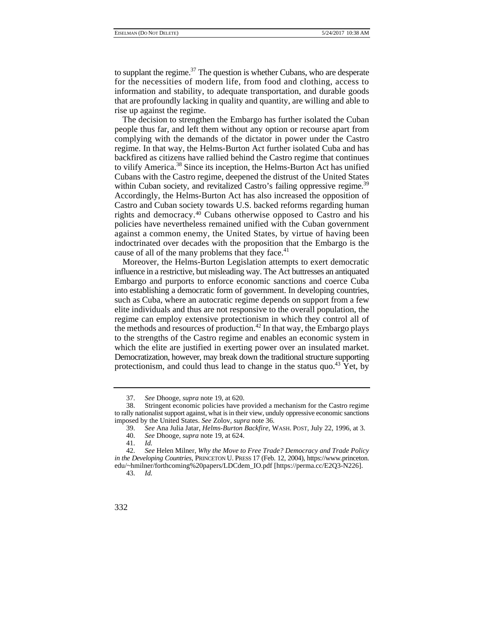to supplant the regime. $37$  The question is whether Cubans, who are desperate for the necessities of modern life, from food and clothing, access to information and stability, to adequate transportation, and durable goods that are profoundly lacking in quality and quantity, are willing and able to rise up against the regime.

 rights and democracy.40 Cubans otherwise opposed to Castro and his against a common enemy, the United States, by virtue of having been cause of all of the many problems that they face.<sup>41</sup> The decision to strengthen the Embargo has further isolated the Cuban people thus far, and left them without any option or recourse apart from complying with the demands of the dictator in power under the Castro regime. In that way, the Helms-Burton Act further isolated Cuba and has backfired as citizens have rallied behind the Castro regime that continues to vilify America.38 Since its inception, the Helms-Burton Act has unified Cubans with the Castro regime, deepened the distrust of the United States within Cuban society, and revitalized Castro's failing oppressive regime.<sup>39</sup> Accordingly, the Helms-Burton Act has also increased the opposition of Castro and Cuban society towards U.S. backed reforms regarding human policies have nevertheless remained unified with the Cuban government indoctrinated over decades with the proposition that the Embargo is the

Moreover, the Helms-Burton Legislation attempts to exert democratic influence in a restrictive, but misleading way. The Act buttresses an antiquated Embargo and purports to enforce economic sanctions and coerce Cuba into establishing a democratic form of government. In developing countries, such as Cuba, where an autocratic regime depends on support from a few elite individuals and thus are not responsive to the overall population, the regime can employ extensive protectionism in which they control all of the methods and resources of production.<sup>42</sup> In that way, the Embargo plays to the strengths of the Castro regime and enables an economic system in which the elite are justified in exerting power over an insulated market. Democratization, however, may break down the traditional structure supporting protectionism, and could thus lead to change in the status quo.<sup>43</sup> Yet, by

<sup>37.</sup> *See* Dhooge, *supra* note 19, at 620.

<sup>38.</sup> Stringent economic policies have provided a mechanism for the Castro regime to rally nationalist support against, what is in their view, unduly oppressive economic sanctions imposed by the United States. *See* Zolov, *supra* note 36.

<sup>39.</sup> *See* Ana Julia Jatar, *Helms-Burton Backfire*, WASH. POST, July 22, 1996, at 3.

<sup>40.</sup> *See* Dhooge, *supra* note 19, at 624.

<sup>41.</sup> *Id.*

 <sup>42.</sup> *See* Helen Milner, *Why the Move to Free Trade? Democracy and Trade Policy in the Developing Countries*, PRINCETON U. PRESS 17 (Feb. 12, 2004), https://www.princeton. edu/~hmilner/forthcoming%20papers/LDCdem\_IO.pdf [https://perma.cc/E2Q3-N226].

<sup>43.</sup> *Id.* 

<sup>332</sup>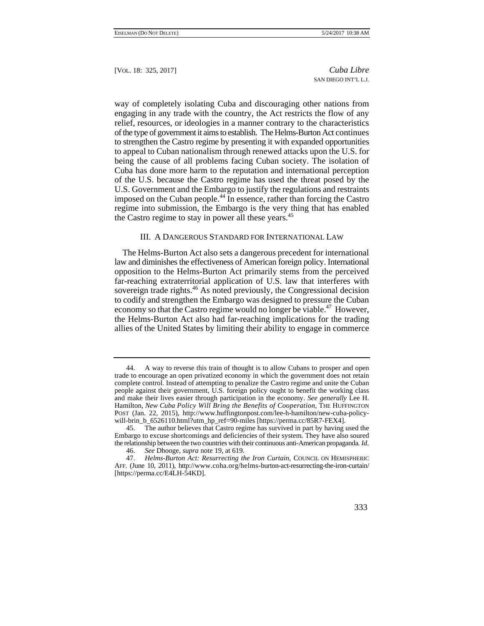way of completely isolating Cuba and discouraging other nations from engaging in any trade with the country, the Act restricts the flow of any relief, resources, or ideologies in a manner contrary to the characteristics of the type of government it aims to establish. The Helms-Burton Act continues to strengthen the Castro regime by presenting it with expanded opportunities to appeal to Cuban nationalism through renewed attacks upon the U.S. for being the cause of all problems facing Cuban society. The isolation of Cuba has done more harm to the reputation and international perception of the U.S. because the Castro regime has used the threat posed by the U.S. Government and the Embargo to justify the regulations and restraints imposed on the Cuban people.<sup>44</sup> In essence, rather than forcing the Castro regime into submission, the Embargo is the very thing that has enabled the Castro regime to stay in power all these years.<sup>45</sup>

### III. A DANGEROUS STANDARD FOR INTERNATIONAL LAW

The Helms-Burton Act also sets a dangerous precedent for international law and diminishes the effectiveness of American foreign policy. International opposition to the Helms-Burton Act primarily stems from the perceived far-reaching extraterritorial application of U.S. law that interferes with sovereign trade rights.<sup>46</sup> As noted previously, the Congressional decision to codify and strengthen the Embargo was designed to pressure the Cuban economy so that the Castro regime would no longer be viable.<sup>47</sup> However, the Helms-Burton Act also had far-reaching implications for the trading allies of the United States by limiting their ability to engage in commerce

<sup>47.</sup> *Helms-Burton Act: Resurrecting the Iron Curtain*, COUNCIL ON HEMISPHERIC AFF. (June 10, 2011), http://www.coha.org/helms-burton-act-resurrecting-the-iron-curtain/ [https://perma.cc/E4LH-54KD].



 trade to encourage an open privatized economy in which the government does not retain 44. A way to reverse this train of thought is to allow Cubans to prosper and open complete control. Instead of attempting to penalize the Castro regime and unite the Cuban people against their government, U.S. foreign policy ought to benefit the working class and make their lives easier through participation in the economy. *See generally* Lee H. Hamilton, *New Cuba Policy Will Bring the Benefits of Cooperation*, THE HUFFINGTON POST (Jan. 22, 2015), http://www.huffingtonpost.com/lee-h-hamilton/new-cuba-policywill-brin\_b\_6526110.html?utm\_hp\_ref=90-miles [https://perma.cc/85R7-FEX4].

 the relationship between the two countries with their continuous anti-American propaganda*. Id*. 45. The author believes that Castro regime has survived in part by having used the Embargo to excuse shortcomings and deficiencies of their system. They have also soured

<sup>46.</sup> *See* Dhooge*, supra* note 19, at 619.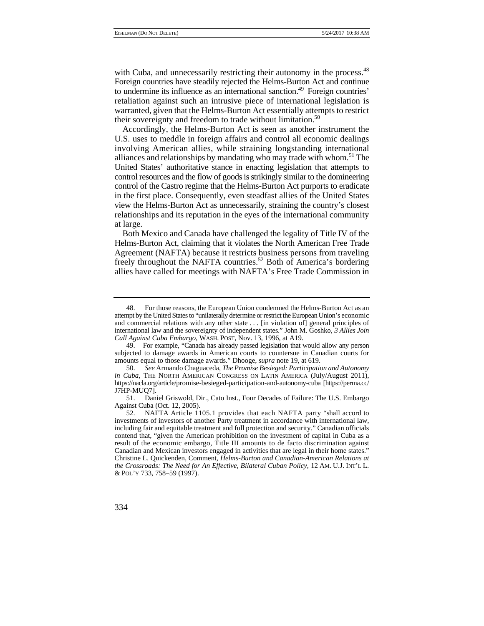with Cuba, and unnecessarily restricting their autonomy in the process.<sup>48</sup> Foreign countries have steadily rejected the Helms-Burton Act and continue to undermine its influence as an international sanction.<sup>49</sup> Foreign countries' retaliation against such an intrusive piece of international legislation is warranted, given that the Helms-Burton Act essentially attempts to restrict their sovereignty and freedom to trade without limitation.<sup>50</sup>

Accordingly, the Helms-Burton Act is seen as another instrument the U.S. uses to meddle in foreign affairs and control all economic dealings involving American allies, while straining longstanding international alliances and relationships by mandating who may trade with whom.<sup>51</sup> The United States' authoritative stance in enacting legislation that attempts to control resources and the flow of goods is strikingly similar to the domineering control of the Castro regime that the Helms-Burton Act purports to eradicate in the first place. Consequently, even steadfast allies of the United States view the Helms-Burton Act as unnecessarily, straining the country's closest relationships and its reputation in the eyes of the international community at large.

Both Mexico and Canada have challenged the legality of Title IV of the Helms-Burton Act, claiming that it violates the North American Free Trade Agreement (NAFTA) because it restricts business persons from traveling freely throughout the NAFTA countries.<sup>52</sup> Both of America's bordering allies have called for meetings with NAFTA's Free Trade Commission in

 result of the economic embargo, Title III amounts to de facto discrimination against *the Crossroads: The Need for An Effective, Bilateral Cuban Policy*, 12 AM. U.J. INT'L L. 52. NAFTA Article 1105.1 provides that each NAFTA party "shall accord to investments of investors of another Party treatment in accordance with international law, including fair and equitable treatment and full protection and security." Canadian officials contend that, "given the American prohibition on the investment of capital in Cuba as a Canadian and Mexican investors engaged in activities that are legal in their home states." Christine L. Quickenden, Comment, *Helms-Burton and Canadian-American Relations at*  & POL'Y 733, 758–59 (1997).



 attempt by the United States to "unilaterally determine or restrict the European Union's economic 48. For those reasons, the European Union condemned the Helms-Burton Act as an and commercial relations with any other state . . . [in violation of] general principles of international law and the sovereignty of independent states." John M. Goshko, *3 Allies Join Call Against Cuba Embargo*, WASH. POST, Nov. 13, 1996, at A19.

<sup>49.</sup> For example, "Canada has already passed legislation that would allow any person subjected to damage awards in American courts to countersue in Canadian courts for amounts equal to those damage awards." Dhooge, *supra* note 19, at 619.

<sup>50.</sup> *See* Armando Chaguaceda, *The Promise Besieged: Participation and Autonomy in Cuba*, THE NORTH AMERICAN CONGRESS ON LATIN AMERICA (July/August 2011), https://nacla.org/article/promise-besieged-participation-and-autonomy-cuba [https://perma.cc/ J7HP-MUQ7].<br>51. Dan

Daniel Griswold, Dir., Cato Inst., Four Decades of Failure: The U.S. Embargo Against Cuba (Oct. 12, 2005).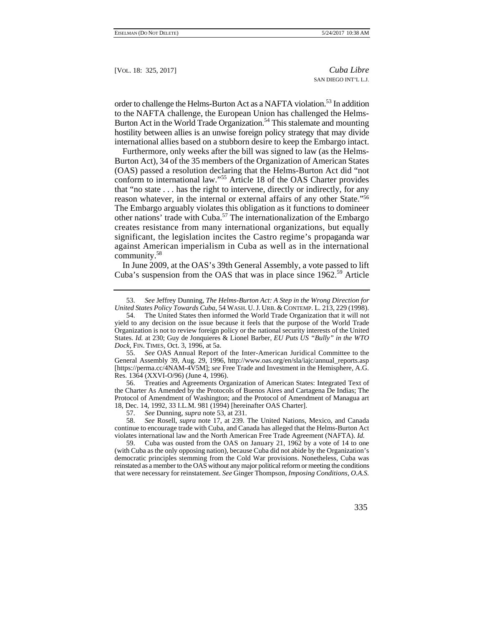hostility between allies is an unwise foreign policy strategy that may divide order to challenge the Helms-Burton Act as a NAFTA violation.<sup>53</sup> In addition to the NAFTA challenge, the European Union has challenged the Helms-Burton Act in the World Trade Organization.<sup>54</sup> This stalemate and mounting international allies based on a stubborn desire to keep the Embargo intact.

 significant, the legislation incites the Castro regime's propaganda war against American imperialism in Cuba as well as in the international Furthermore, only weeks after the bill was signed to law (as the Helms-Burton Act), 34 of the 35 members of the Organization of American States (OAS) passed a resolution declaring that the Helms-Burton Act did "not conform to international law."55 Article 18 of the OAS Charter provides that "no state . . . has the right to intervene, directly or indirectly, for any reason whatever, in the internal or external affairs of any other State."56 The Embargo arguably violates this obligation as it functions to domineer other nations' trade with Cuba.<sup>57</sup> The internationalization of the Embargo creates resistance from many international organizations, but equally community.58

In June 2009, at the OAS's 39th General Assembly, a vote passed to lift Cuba's suspension from the OAS that was in place since 1962.<sup>59</sup> Article

 55. *See* OAS Annual Report of the Inter-American Juridical Committee to the General Assembly 39, Aug. 29, 1996, http://www.oas.org/en/sla/iajc/annual\_reports.asp [https://perma.cc/4NAM-4V5M]; *see* Free Trade and Investment in the Hemisphere, A.G. Res. 1364 (XXVI-O/96) (June 4, 1996).

56. Treaties and Agreements Organization of American States: Integrated Text of the Charter As Amended by the Protocols of Buenos Aires and Cartagena De Indias; The Protocol of Amendment of Washington; and the Protocol of Amendment of Managua art 18, Dec. 14, 1992, 33 I.L.M. 981 (1994) [hereinafter OAS Charter].

57. *See* Dunning, *supra* note 53, at 231.

58. *See* Rosell, *supra* note 17, at 239. The United Nations, Mexico, and Canada continue to encourage trade with Cuba, and Canada has alleged that the Helms-Burton Act violates international law and the North American Free Trade Agreement (NAFTA). *Id.* 

 reinstated as a member to the OAS without any major political reform or meeting the conditions 59. Cuba was ousted from the OAS on January 21, 1962 by a vote of 14 to one (with Cuba as the only opposing nation), because Cuba did not abide by the Organization's democratic principles stemming from the Cold War provisions. Nonetheless, Cuba was that were necessary for reinstatement. *See* Ginger Thompson, *Imposing Conditions, O.A.S.* 

 *United States Policy Towards Cuba*, 54 WASH. U. J. URB. & CONTEMP. L. 213, 229 (1998). 53. *See* Jeffrey Dunning, *The Helms-Burton Act: A Step in the Wrong Direction for*

 States. *Id.* at 230; Guy de Jonquieres & Lionel Barber*, EU Puts US "Bully" in the WTO*  54. The United States then informed the World Trade Organization that it will not yield to any decision on the issue because it feels that the purpose of the World Trade Organization is not to review foreign policy or the national security interests of the United *Dock,* FIN. TIMES*,* Oct. 3, 1996, at 5a.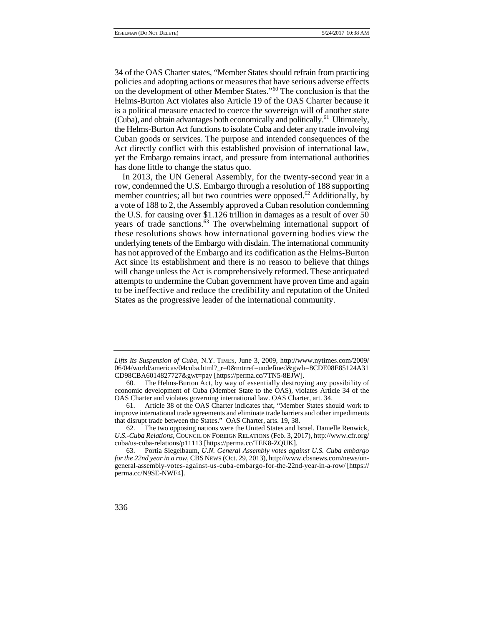the Helms-Burton Act functions to isolate Cuba and deter any trade involving 34 of the OAS Charter states, "Member States should refrain from practicing policies and adopting actions or measures that have serious adverse effects on the development of other Member States."60 The conclusion is that the Helms-Burton Act violates also Article 19 of the OAS Charter because it is a political measure enacted to coerce the sovereign will of another state (Cuba), and obtain advantages both economically and politically.61 Ultimately, Cuban goods or services. The purpose and intended consequences of the Act directly conflict with this established provision of international law, yet the Embargo remains intact, and pressure from international authorities has done little to change the status quo.

 In 2013, the UN General Assembly, for the twenty-second year in a to be ineffective and reduce the credibility and reputation of the United row, condemned the U.S. Embargo through a resolution of 188 supporting member countries; all but two countries were opposed.<sup>62</sup> Additionally, by a vote of 188 to 2, the Assembly approved a Cuban resolution condemning the U.S. for causing over \$1.126 trillion in damages as a result of over  $50$ years of trade sanctions.<sup>63</sup> The overwhelming international support of these resolutions shows how international governing bodies view the underlying tenets of the Embargo with disdain. The international community has not approved of the Embargo and its codification as the Helms-Burton Act since its establishment and there is no reason to believe that things will change unless the Act is comprehensively reformed. These antiquated attempts to undermine the Cuban government have proven time and again States as the progressive leader of the international community.

*Lifts Its Suspension of Cuba*, N.Y. TIMES, June 3, 2009, http://www.nytimes.com/2009/ 06/04/world/americas/04cuba.html?\_r=0&mtrref=undefined&gwh=8CDE08E85124A31 CD98CBA6014827727&gwt=pay [https://perma.cc/7TN5-8EJW].

<sup>60.</sup> The Helms-Burton Act, by way of essentially destroying any possibility of economic development of Cuba (Member State to the OAS), violates Article 34 of the OAS Charter and violates governing international law. OAS Charter, art. 34.

<sup>61.</sup> Article 38 of the OAS Charter indicates that, "Member States should work to improve international trade agreements and eliminate trade barriers and other impediments that disrupt trade between the States." OAS Charter, arts. 19, 38.

<sup>62.</sup> The two opposing nations were the United States and Israel. Danielle Renwick, *U.S.-Cuba Relations,* COUNCIL ON FOREIGN RELATIONS (Feb. 3, 2017), http://www.cfr.org/ cuba/us-cuba-relations/p11113 [https://perma.cc/TEK8-ZQUK].

<sup>63.</sup> Portia Siegelbaum, *U.N. General Assembly votes against U.S. Cuba embargo for the 22nd year in a row*, CBS NEWS (Oct. 29, 2013), http://www.cbsnews.com/news/ungeneral-assembly-votes-against-us-cuba-embargo-for-the-22nd-year-in-a-row/ [https:// perma.cc/N9SE-NWF4].

<sup>336</sup>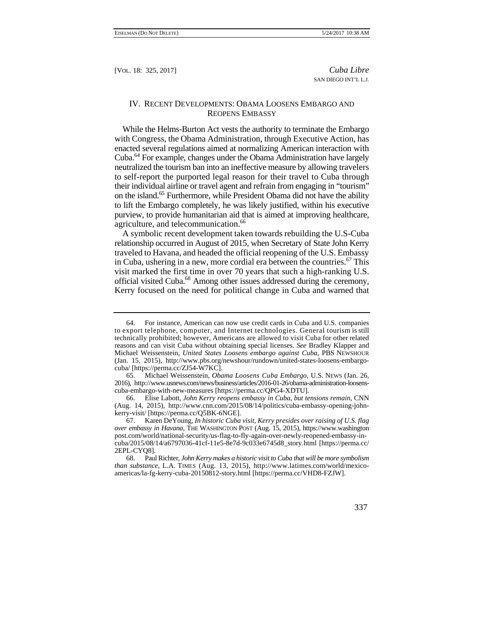## IV. RECENT DEVELOPMENTS: OBAMA LOOSENS EMBARGO AND REOPENS EMBASSY

on the island.<sup>65</sup> Furthermore, while President Obama did not have the ability While the Helms-Burton Act vests the authority to terminate the Embargo with Congress, the Obama Administration, through Executive Action, has enacted several regulations aimed at normalizing American interaction with Cuba.64 For example, changes under the Obama Administration have largely neutralized the tourism ban into an ineffective measure by allowing travelers to self-report the purported legal reason for their travel to Cuba through their individual airline or travel agent and refrain from engaging in "tourism" to lift the Embargo completely, he was likely justified, within his executive purview, to provide humanitarian aid that is aimed at improving healthcare, agriculture, and telecommunication.<sup>66</sup>

A symbolic recent development taken towards rebuilding the U.S-Cuba relationship occurred in August of 2015, when Secretary of State John Kerry traveled to Havana, and headed the official reopening of the U.S. Embassy in Cuba, ushering in a new, more cordial era between the countries.<sup>67</sup> This visit marked the first time in over 70 years that such a high-ranking U.S. official visited Cuba.68 Among other issues addressed during the ceremony, Kerry focused on the need for political change in Cuba and warned that

 68. Paul Richter, *John Kerry makes a historic visit to Cuba that will be more symbolism than substance*, L.A. TIMES (Aug. 13, 2015), http://www.latimes.com/world/mexicoamericas/la-fg-kerry-cuba-20150812-story.html [https://perma.cc/VHD8-FZJW].



 to export telephone, computer, and Internet technologies. General tourism is still technically prohibited; however, Americans are allowed to visit Cuba for other related 64. For instance, American can now use credit cards in Cuba and U.S. companies reasons and can visit Cuba without obtaining special licenses. *See* Bradley Klapper and Michael Weissenstein, *United States Loosens embargo against Cuba*, PBS NEWSHOUR (Jan. 15, 2015), http://www.pbs.org/newshour/rundown/united-states-loosens-embargocuba/ [https://perma.cc/ZJ54-W7KC].

<sup>65.</sup> Michael Weissenstein, *Obama Loosens Cuba Embargo*, U.S. NEWS (Jan. 26, 2016), http://www.usnews.com/news/business/articles/2016-01-26/obama-administration-loosenscuba-embargo-with-new-measures [https://perma.cc/QPG4-XDTU].

<sup>66.</sup> Elise Labott, *John Kerry reopens embassy in Cuba, but tensions remain*, CNN (Aug. 14, 2015), http://www.cnn.com/2015/08/14/politics/cuba-embassy-opening-johnkerry-visit/ [https://perma.cc/Q5BK-6NGE].

 67. Karen DeYoung, *In historic Cuba visit, Kerry presides over raising of U.S. flag over embassy in Havana,* THE WASHINGTON POST (Aug. 15, 2015), https://www.washington post.com/world/national-security/us-flag-to-fly-again-over-newly-reopened-embassy-incuba/2015/08/14/a6797036-41cf-11e5-8e7d-9c033e6745d8\_story.html [https://perma.cc/ 2EPL-CYQ8].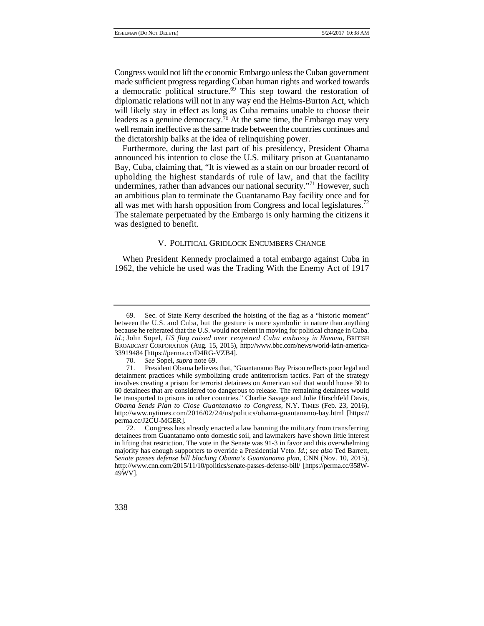Congress would not lift the economic Embargo unless the Cuban government made sufficient progress regarding Cuban human rights and worked towards a democratic political structure.<sup>69</sup> This step toward the restoration of diplomatic relations will not in any way end the Helms-Burton Act, which will likely stay in effect as long as Cuba remains unable to choose their leaders as a genuine democracy.<sup>70</sup> At the same time, the Embargo may very well remain ineffective as the same trade between the countries continues and the dictatorship balks at the idea of relinquishing power.

Furthermore, during the last part of his presidency, President Obama announced his intention to close the U.S. military prison at Guantanamo Bay, Cuba, claiming that, "It is viewed as a stain on our broader record of upholding the highest standards of rule of law, and that the facility undermines, rather than advances our national security."<sup>71</sup> However, such an ambitious plan to terminate the Guantanamo Bay facility once and for all was met with harsh opposition from Congress and local legislatures.<sup>72</sup> The stalemate perpetuated by the Embargo is only harming the citizens it was designed to benefit.

### V. POLITICAL GRIDLOCK ENCUMBERS CHANGE

 1962, the vehicle he used was the Trading With the Enemy Act of 1917 When President Kennedy proclaimed a total embargo against Cuba in

 between the U.S. and Cuba, but the gesture is more symbolic in nature than anything  *Id.*; John Sopel, *US flag raised over reopened Cuba embassy in Havana*, BRITISH 69. Sec. of State Kerry described the hoisting of the flag as a "historic moment" because he reiterated that the U.S. would not relent in moving for political change in Cuba. BROADCAST CORPORATION (Aug. 15, 2015), http://www.bbc.com/news/world-latin-america-33919484 [https://perma.cc/D4RG-VZB4].

<sup>70.</sup> *See* Sopel, *supra* note 69.

 *Obama Sends Plan to Close Guantanamo to Congress*, N.Y. TIMES (Feb. 23, 2016), President Obama believes that, "Guantanamo Bay Prison reflects poor legal and detainment practices while symbolizing crude antiterrorism tactics. Part of the strategy involves creating a prison for terrorist detainees on American soil that would house 30 to 60 detainees that are considered too dangerous to release. The remaining detainees would be transported to prisons in other countries." Charlie Savage and Julie Hirschfeld Davis, http://www.nytimes.com/2016/02/24/us/politics/obama-guantanamo-bay.html [https:// perma.cc/J2CU-MGER].

<sup>72.</sup> Congress has already enacted a law banning the military from transferring detainees from Guantanamo onto domestic soil, and lawmakers have shown little interest in lifting that restriction. The vote in the Senate was 91-3 in favor and this overwhelming majority has enough supporters to override a Presidential Veto. *Id.*; *see also* Ted Barrett, *Senate passes defense bill blocking Obama's Guantanamo plan*, CNN (Nov. 10, 2015), http://www.cnn.com/2015/11/10/politics/senate-passes-defense-bill/ [https://perma.cc/358W-49WV].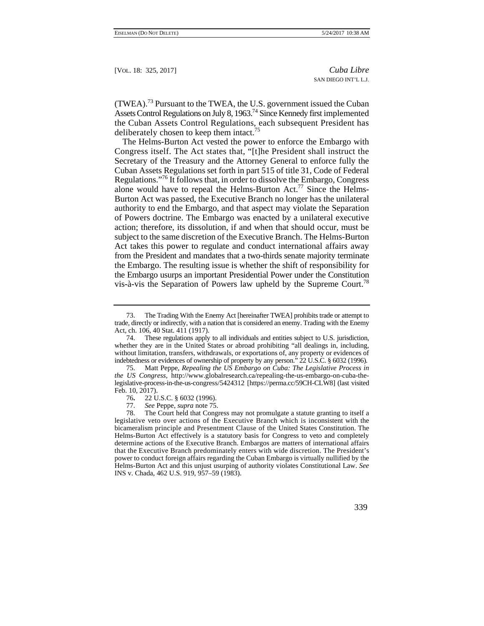$(TWEA).<sup>73</sup>$  Pursuant to the TWEA, the U.S. government issued the Cuban Assets Control Regulations on July 8, 1963.<sup>74</sup> Since Kennedy first implemented the Cuban Assets Control Regulations, each subsequent President has deliberately chosen to keep them intact.<sup>75</sup>

The Helms-Burton Act vested the power to enforce the Embargo with Congress itself. The Act states that, "[t]he President shall instruct the Secretary of the Treasury and the Attorney General to enforce fully the Cuban Assets Regulations set forth in part 515 of title 31, Code of Federal Regulations."76 It follows that, in order to dissolve the Embargo, Congress alone would have to repeal the Helms-Burton  $Act.^{77}$  Since the Helms-Burton Act was passed, the Executive Branch no longer has the unilateral authority to end the Embargo, and that aspect may violate the Separation of Powers doctrine. The Embargo was enacted by a unilateral executive action; therefore, its dissolution, if and when that should occur, must be subject to the same discretion of the Executive Branch. The Helms-Burton Act takes this power to regulate and conduct international affairs away from the President and mandates that a two-thirds senate majority terminate the Embargo. The resulting issue is whether the shift of responsibility for the Embargo usurps an important Presidential Power under the Constitution vis-à-vis the Separation of Powers law upheld by the Supreme Court.<sup>78</sup>

 legislative veto over actions of the Executive Branch which is inconsistent with the The Court held that Congress may not promulgate a statute granting to itself a bicameralism principle and Presentment Clause of the United States Constitution. The Helms-Burton Act effectively is a statutory basis for Congress to veto and completely determine actions of the Executive Branch. Embargos are matters of international affairs that the Executive Branch predominately enters with wide discretion. The President's power to conduct foreign affairs regarding the Cuban Embargo is virtually nullified by the Helms-Burton Act and this unjust usurping of authority violates Constitutional Law. *See*  INS v. Chada, 462 U.S. 919, 957–59 (1983).



 trade, directly or indirectly, with a nation that is considered an enemy. Trading with the Enemy 73. The Trading With the Enemy Act [hereinafter TWEA] prohibits trade or attempt to Act, ch. 106, 40 Stat. 411 (1917).

 indebtedness or evidences of ownership of property by any person." 22 U.S.C. § 6032 (1996). 74. These regulations apply to all individuals and entities subject to U.S. jurisdiction, whether they are in the United States or abroad prohibiting "all dealings in, including, without limitation, transfers, withdrawals, or exportations of, any property or evidences of

<sup>75.</sup> Matt Peppe, *Repealing the US Embargo on Cuba: The Legislative Process in the US Congress,* http://www.globalresearch.ca/repealing-the-us-embargo-on-cuba-thelegislative-process-in-the-us-congress/5424312 [https://perma.cc/59CH-CLW8] (last visited Feb. 10, 2017).<br>76. 22 U

<sup>76</sup>**.** 22 U.S.C. § 6032 (1996).

<sup>77.</sup> *See* Peppe, *supra* note 75.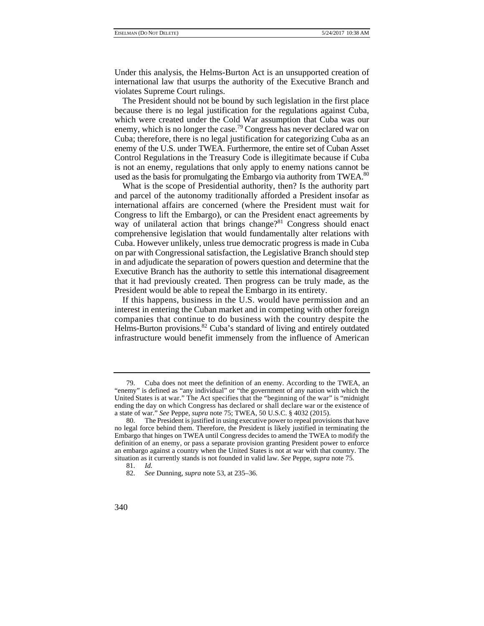Under this analysis, the Helms-Burton Act is an unsupported creation of international law that usurps the authority of the Executive Branch and violates Supreme Court rulings.

used as the basis for promulgating the Embargo via authority from TWEA.<sup>80</sup> The President should not be bound by such legislation in the first place because there is no legal justification for the regulations against Cuba, which were created under the Cold War assumption that Cuba was our enemy, which is no longer the case.<sup>79</sup> Congress has never declared war on Cuba; therefore, there is no legal justification for categorizing Cuba as an enemy of the U.S. under TWEA. Furthermore, the entire set of Cuban Asset Control Regulations in the Treasury Code is illegitimate because if Cuba is not an enemy, regulations that only apply to enemy nations cannot be

 Executive Branch has the authority to settle this international disagreement What is the scope of Presidential authority, then? Is the authority part and parcel of the autonomy traditionally afforded a President insofar as international affairs are concerned (where the President must wait for Congress to lift the Embargo), or can the President enact agreements by way of unilateral action that brings change?<sup>81</sup> Congress should enact comprehensive legislation that would fundamentally alter relations with Cuba. However unlikely, unless true democratic progress is made in Cuba on par with Congressional satisfaction, the Legislative Branch should step in and adjudicate the separation of powers question and determine that the that it had previously created. Then progress can be truly made, as the President would be able to repeal the Embargo in its entirety.

Helms-Burton provisions.<sup>82</sup> Cuba's standard of living and entirely outdated If this happens, business in the U.S. would have permission and an interest in entering the Cuban market and in competing with other foreign companies that continue to do business with the country despite the infrastructure would benefit immensely from the influence of American

 "enemy" is defined as "any individual" or "the government of any nation with which the United States is at war." The Act specifies that the "beginning of the war" is "midnight ending the day on which Congress has declared or shall declare war or the existence of 79. Cuba does not meet the definition of an enemy. According to the TWEA, an a state of war." *See* Peppe, *supra* note 75; TWEA, 50 U.S.C. § 4032 (2015).

<sup>80.</sup> The President is justified in using executive power to repeal provisions that have no legal force behind them. Therefore, the President is likely justified in terminating the Embargo that hinges on TWEA until Congress decides to amend the TWEA to modify the definition of an enemy, or pass a separate provision granting President power to enforce an embargo against a country when the United States is not at war with that country. The situation as it currently stands is not founded in valid law. *See* Peppe, *supra* note 75.

<sup>81.</sup> *Id.* 

<sup>82.</sup> *See* Dunning, *supra* note 53, at 235–36.

<sup>340</sup>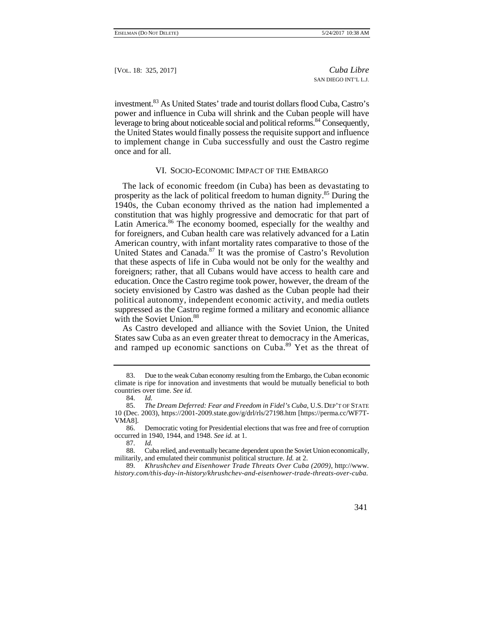investment.83 As United States' trade and tourist dollars flood Cuba, Castro's power and influence in Cuba will shrink and the Cuban people will have leverage to bring about noticeable social and political reforms.<sup>84</sup> Consequently, the United States would finally possess the requisite support and influence to implement change in Cuba successfully and oust the Castro regime once and for all.

### VI. SOCIO-ECONOMIC IMPACT OF THE EMBARGO

 The lack of economic freedom (in Cuba) has been as devastating to 1940s, the Cuban economy thrived as the nation had implemented a prosperity as the lack of political freedom to human dignity.85 During the constitution that was highly progressive and democratic for that part of Latin America.<sup>86</sup> The economy boomed, especially for the wealthy and for foreigners, and Cuban health care was relatively advanced for a Latin American country, with infant mortality rates comparative to those of the United States and Canada.<sup>87</sup> It was the promise of Castro's Revolution that these aspects of life in Cuba would not be only for the wealthy and foreigners; rather, that all Cubans would have access to health care and education. Once the Castro regime took power, however, the dream of the society envisioned by Castro was dashed as the Cuban people had their political autonomy, independent economic activity, and media outlets suppressed as the Castro regime formed a military and economic alliance with the Soviet Union.<sup>88</sup>

 States saw Cuba as an even greater threat to democracy in the Americas, As Castro developed and alliance with the Soviet Union, the United and ramped up economic sanctions on Cuba.<sup>89</sup> Yet as the threat of

<sup>89.</sup> *Khrushchev and Eisenhower Trade Threats Over Cuba (2009)*, http://www*. history.com/this-day-in-history/khrushchev-and-eisenhower-trade-threats-over-cuba.* 



Due to the weak Cuban economy resulting from the Embargo, the Cuban economic climate is ripe for innovation and investments that would be mutually beneficial to both countries over time. *See id.*

 <sup>84.</sup> *Id.* 

<sup>85.</sup> *The Dream Deferred: Fear and Freedom in Fidel's Cuba*, U.S. DEP'T OF STATE 10 (Dec. 2003), https://2001-2009.state.gov/g/drl/rls/27198.htm [https://perma.cc/WF7T-VMA8].

<sup>86.</sup> Democratic voting for Presidential elections that was free and free of corruption occurred in 1940, 1944, and 1948. *See id.* at 1.

<sup>87.</sup> *Id.* 

<sup>88.</sup> Cuba relied, and eventually became dependent upon the Soviet Union economically, militarily, and emulated their communist political structure. *Id.* at 2.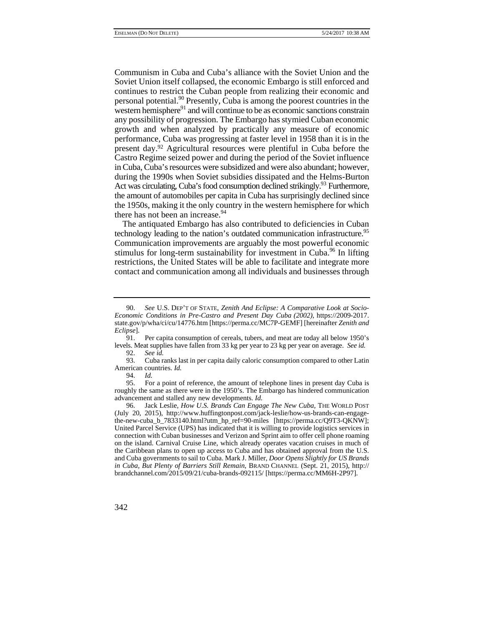western hemisphere<sup>91</sup> and will continue to be as economic sanctions constrain the amount of automobiles per capita in Cuba has surprisingly declined since Communism in Cuba and Cuba's alliance with the Soviet Union and the Soviet Union itself collapsed, the economic Embargo is still enforced and continues to restrict the Cuban people from realizing their economic and personal potential.<sup>90</sup> Presently, Cuba is among the poorest countries in the any possibility of progression. The Embargo has stymied Cuban economic growth and when analyzed by practically any measure of economic performance, Cuba was progressing at faster level in 1958 than it is in the present day.92 Agricultural resources were plentiful in Cuba before the Castro Regime seized power and during the period of the Soviet influence in Cuba, Cuba's resources were subsidized and were also abundant; however, during the 1990s when Soviet subsidies dissipated and the Helms-Burton Act was circulating, Cuba's food consumption declined strikingly.<sup>93</sup> Furthermore, the 1950s, making it the only country in the western hemisphere for which there has not been an increase.<sup>94</sup>

The antiquated Embargo has also contributed to deficiencies in Cuban technology leading to the nation's outdated communication infrastructure.<sup>95</sup> Communication improvements are arguably the most powerful economic stimulus for long-term sustainability for investment in Cuba.<sup>96</sup> In lifting restrictions, the United States will be able to facilitate and integrate more contact and communication among all individuals and businesses through

<sup>90.</sup> *See* U.S. DEP'T OF STATE, *Zenith And Eclipse: A Comparative Look at Socio-Economic Conditions in Pre-Castro and Present Day Cuba (2002)*, https://2009-2017. state.gov/p/wha/ci/cu/14776.htm [https://perma.cc/MC7P-GEMF] [hereinafter *Zenith and Eclipse*].

Per capita consumption of cereals, tubers, and meat are today all below 1950's levels. Meat supplies have fallen from 33 kg per year to 23 kg per year on average. *See id.* 

<sup>92.</sup> *See id.* 

<sup>93.</sup> Cuba ranks last in per capita daily caloric consumption compared to other Latin American countries. *Id.* 94. *Id.* 

<sup>94.</sup> *Id.* 

<sup>95.</sup> For a point of reference, the amount of telephone lines in present day Cuba is roughly the same as there were in the 1950's. The Embargo has hindered communication advancement and stalled any new developments. *Id.* 

<sup>96.</sup> Jack Leslie, *How U.S. Brands Can Engage The New Cuba*, THE WORLD POST (July 20, 2015), http://www.huffingtonpost.com/jack-leslie/how-us-brands-can-engagethe-new-cuba\_b\_7833140.html?utm\_hp\_ref=90-miles [https://perma.cc/Q9T3-QKNW]; United Parcel Service (UPS) has indicated that it is willing to provide logistics services in connection with Cuban businesses and Verizon and Sprint aim to offer cell phone roaming on the island. Carnival Cruise Line, which already operates vacation cruises in much of the Caribbean plans to open up access to Cuba and has obtained approval from the U.S. and Cuba governments to sail to Cuba. Mark J. Miller, *Door Opens Slightly for US Brands in Cuba, But Plenty of Barriers Still Remain*, BRAND CHANNEL (Sept. 21, 2015), http:// brandchannel.com/2015/09/21/cuba-brands-092115/ [https://perma.cc/MM6H-2P97].

<sup>342</sup>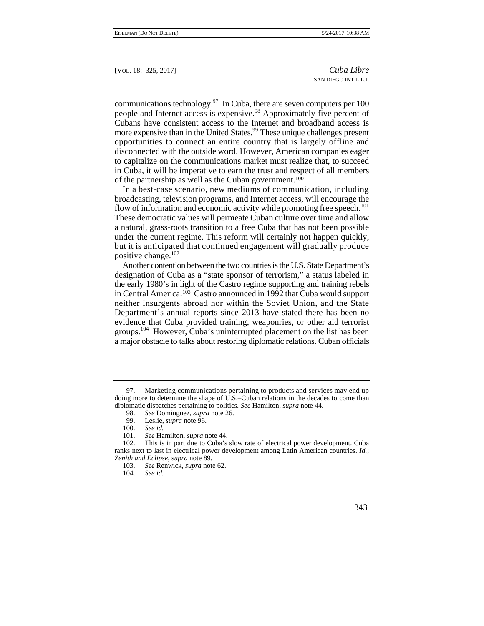communications technology.<sup>97</sup> In Cuba, there are seven computers per 100 people and Internet access is expensive.<sup>98</sup> Approximately five percent of Cubans have consistent access to the Internet and broadband access is more expensive than in the United States.<sup>99</sup> These unique challenges present opportunities to connect an entire country that is largely offline and disconnected with the outside word. However, American companies eager to capitalize on the communications market must realize that, to succeed in Cuba, it will be imperative to earn the trust and respect of all members of the partnership as well as the Cuban government.100

In a best-case scenario, new mediums of communication, including broadcasting, television programs, and Internet access, will encourage the flow of information and economic activity while promoting free speech.<sup>101</sup> These democratic values will permeate Cuban culture over time and allow a natural, grass-roots transition to a free Cuba that has not been possible under the current regime. This reform will certainly not happen quickly, but it is anticipated that continued engagement will gradually produce positive change.<sup>102</sup>

 the early 1980's in light of the Castro regime supporting and training rebels Another contention between the two countries is the U.S. State Department's designation of Cuba as a "state sponsor of terrorism," a status labeled in in Central America.103 Castro announced in 1992 that Cuba would support neither insurgents abroad nor within the Soviet Union, and the State Department's annual reports since 2013 have stated there has been no evidence that Cuba provided training, weaponries, or other aid terrorist groups.<sup>104</sup> However, Cuba's uninterrupted placement on the list has been a major obstacle to talks about restoring diplomatic relations. Cuban officials

<sup>97.</sup> Marketing communications pertaining to products and services may end up doing more to determine the shape of U.S.–Cuban relations in the decades to come than diplomatic dispatches pertaining to politics. *See* Hamilton, *supra* note 44.

<sup>98.</sup> *See* Dominguez, *supra* note 26.

Leslie, *supra* note 96.

 <sup>100.</sup> *See id.*

 <sup>101.</sup> *See* Hamilton, *supra* note 44.

<sup>102.</sup> This is in part due to Cuba's slow rate of electrical power development. Cuba ranks next to last in electrical power development among Latin American countries. *Id.*; *Zenith and Eclipse*, s*upra* note 89.

<sup>103.</sup> *See* Renwick, *supra* note 62.

<sup>104.</sup> *See id.*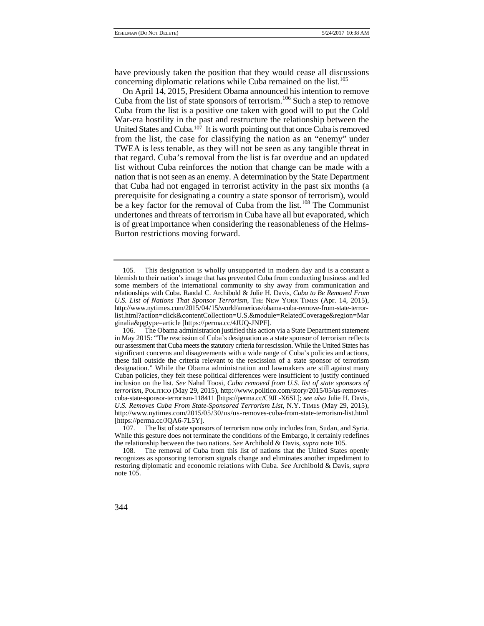have previously taken the position that they would cease all discussions concerning diplomatic relations while Cuba remained on the list.<sup>105</sup>

United States and Cuba.<sup>107</sup> It is worth pointing out that once Cuba is removed from the list, the case for classifying the nation as an "enemy" under that regard. Cuba's removal from the list is far overdue and an updated On April 14, 2015, President Obama announced his intention to remove Cuba from the list of state sponsors of terrorism.<sup>106</sup> Such a step to remove Cuba from the list is a positive one taken with good will to put the Cold War-era hostility in the past and restructure the relationship between the TWEA is less tenable, as they will not be seen as any tangible threat in list without Cuba reinforces the notion that change can be made with a nation that is not seen as an enemy. A determination by the State Department that Cuba had not engaged in terrorist activity in the past six months (a prerequisite for designating a country a state sponsor of terrorism), would be a key factor for the removal of Cuba from the list.<sup>108</sup> The Communist undertones and threats of terrorism in Cuba have all but evaporated, which is of great importance when considering the reasonableness of the Helms-Burton restrictions moving forward.

 the relationship between the two nations. *See* Archibold & Davis, *supra* note 105. 107. The list of state sponsors of terrorism now only includes Iran, Sudan, and Syria. While this gesture does not terminate the conditions of the Embargo, it certainly redefines

<sup>105.</sup> This designation is wholly unsupported in modern day and is a constant a blemish to their nation's image that has prevented Cuba from conducting business and led some members of the international community to shy away from communication and relationships with Cuba. Randal C. Archibold & Julie H. Davis, *Cuba to Be Removed From*  U.S. List of Nations That Sponsor Terrorism, THE NEW YORK TIMES (Apr. 14, 2015), http://www.nytimes.com/2015/04/15/world/americas/obama-cuba-remove-from-state-terrorlist.html?action=click&contentCollection=U.S.&module=RelatedCoverage&region=Mar ginalia&pgtype=article [https://perma.cc/4JUQ-JNPF].

 our assessment that Cuba meets the statutory criteria for rescission. While the United States has designation." While the Obama administration and lawmakers are still against many 106. The Obama administration justified this action via a State Department statement in May 2015: "The rescission of Cuba's designation as a state sponsor of terrorism reflects significant concerns and disagreements with a wide range of Cuba's policies and actions, these fall outside the criteria relevant to the rescission of a state sponsor of terrorism Cuban policies, they felt these political differences were insufficient to justify continued inclusion on the list. *See* Nahal Toosi, *Cuba removed from U.S. list of state sponsors of terrorism*, POLITICO (May 29, 2015), http://www.politico.com/story/2015/05/us-removescuba-state-sponsor-terrorism-118411 [https://perma.cc/C9JL-X6SL]; *see also* Julie H. Davis, *U.S. Removes Cuba From State-Sponsored Terrorism List,* N.Y. TIMES (May 29, 2015), http://www.nytimes.com/2015/05/30/us/us-removes-cuba-from-state-terrorism-list.html [https://perma.cc/JQA6-7L5Y].

<sup>108.</sup> The removal of Cuba from this list of nations that the United States openly recognizes as sponsoring terrorism signals change and eliminates another impediment to restoring diplomatic and economic relations with Cuba. *See* Archibold & Davis, *supra* note 105.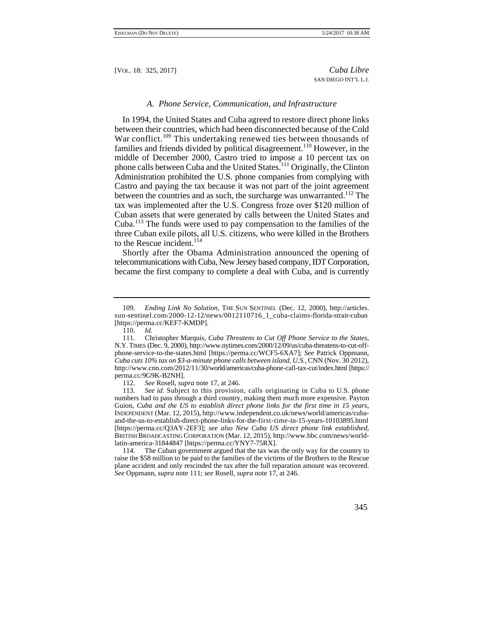#### *A. Phone Service, Communication, and Infrastructure*

In 1994, the United States and Cuba agreed to restore direct phone links between their countries, which had been disconnected because of the Cold War conflict.<sup>109</sup> This undertaking renewed ties between thousands of families and friends divided by political disagreement.110 However, in the middle of December 2000, Castro tried to impose a 10 percent tax on phone calls between Cuba and the United States.<sup>111</sup> Originally, the Clinton Administration prohibited the U.S. phone companies from complying with Castro and paying the tax because it was not part of the joint agreement between the countries and as such, the surcharge was unwarranted.<sup>112</sup> The tax was implemented after the U.S. Congress froze over \$120 million of Cuban assets that were generated by calls between the United States and Cuba.113 The funds were used to pay compensation to the families of the three Cuban exile pilots, all U.S. citizens, who were killed in the Brothers to the Rescue incident.<sup>114</sup>

Shortly after the Obama Administration announced the opening of telecommunications with Cuba, New Jersey based company, IDT Corporation, became the first company to complete a deal with Cuba, and is currently

 114. The Cuban government argued that the tax was the only way for the country to raise the \$58 million to be paid to the families of the victims of the Brothers to the Rescue plane accident and only rescinded the tax after the full reparation amount was recovered. *See* Oppmann, *supra* note 111; *see* Rosell, *supra* note 17, at 246.



<sup>109.</sup> *Ending Link No Solution*, THE SUN SENTINEL (Dec. 12, 2000), http://articles. sun-sentinel.com/2000-12-12/news/0012110716\_1\_cuba-claims-florida-strait-cuban [https://perma.cc/KEF7-KMDP].

<sup>110.</sup> *Id.* 

 111. Christopher Marquis, *Cuba Threatens to Cut Off Phone Service to the States*, N.Y. TIMES (Dec. 9, 2000), http://www.nytimes.com/2000/12/09/us/cuba-threatens-to-cut-offphone-service-to-the-states.html [https://perma.cc/WCF5-6XA7]; *See* Patrick Oppmann, *Cuba cuts 10% tax on \$3-a-minute phone calls between island, U.S.,* CNN (Nov. 30 2012), http://www.cnn.com/2012/11/30/world/americas/cuba-phone-call-tax-cut/index.html [https:// perma.cc/9G9K-B2NH].

<sup>112.</sup> *See* Rosell, *supra* note 17, at 246.

 113. *See id.* Subject to this provision, calls originating in Cuba to U.S. phone numbers had to pass through a third country, making them much more expensive. Payton Guion, *Cuba and the US to establish direct phone links for the first time in 15 years*, INDEPENDENT (Mar. 12, 2015), http://www.independent.co.uk/news/world/americas/cubaand-the-us-to-establish-direct-phone-links-for-the-first-time-in-15-years-10103895.html [https://perma.cc/Q3AY-2EF3]; *see also New Cuba US direct phone link established*, BRITISH BROADCASTING CORPORATION (Mar. 12, 2015), http://www.bbc.com/news/worldlatin-america-31844847 [https://perma.cc/YNY7-75RX].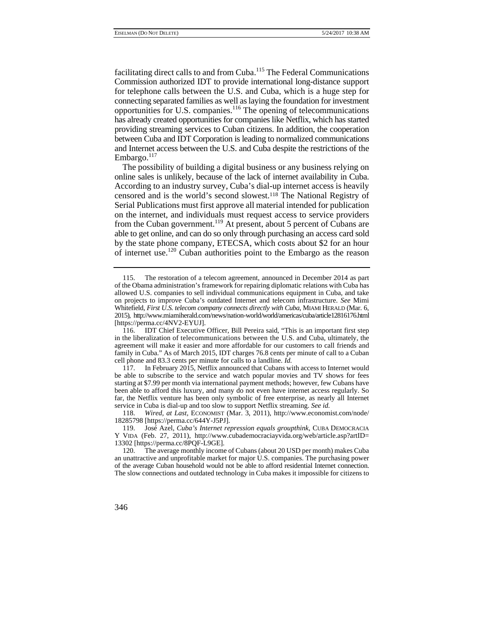Commission authorized IDT to provide international long-distance support and Internet access between the U.S. and Cuba despite the restrictions of the facilitating direct calls to and from Cuba.115 The Federal Communications for telephone calls between the U.S. and Cuba, which is a huge step for connecting separated families as well as laying the foundation for investment opportunities for U.S. companies.116 The opening of telecommunications has already created opportunities for companies like Netflix, which has started providing streaming services to Cuban citizens. In addition, the cooperation between Cuba and IDT Corporation is leading to normalized communications Embargo. $117$ 

 online sales is unlikely, because of the lack of internet availability in Cuba. The possibility of building a digital business or any business relying on According to an industry survey, Cuba's dial-up internet access is heavily censored and is the world's second slowest.118 The National Registry of Serial Publications must first approve all material intended for publication on the internet, and individuals must request access to service providers from the Cuban government.<sup>119</sup> At present, about 5 percent of Cubans are able to get online, and can do so only through purchasing an access card sold by the state phone company, ETECSA, which costs about \$2 for an hour of internet use.120 Cuban authorities point to the Embargo as the reason

 118. *Wired, at Last,* ECONOMIST (Mar. 3, 2011), http://www.economist.com/node/ 18285798 [https://perma.cc/644Y-J5PJ].

 Whitefield, *First U.S. telecom company connects directly with Cuba*, MIAMI HERALD (Mar. 6, 115. The restoration of a telecom agreement, announced in December 2014 as part of the Obama administration's framework for repairing diplomatic relations with Cuba has allowed U.S. companies to sell individual communications equipment in Cuba, and take on projects to improve Cuba's outdated Internet and telecom infrastructure. *See* Mimi 2015), http://www.miamiherald.com/news/nation-world/world/americas/cuba/article12816176.html [https://perma.cc/4NV2-EYUJ].

 in the liberalization of telecommunications between the U.S. and Cuba, ultimately, the agreement will make it easier and more affordable for our customers to call friends and 116. IDT Chief Executive Officer, Bill Pereira said, "This is an important first step family in Cuba." As of March 2015, IDT charges 76.8 cents per minute of call to a Cuban cell phone and 83.3 cents per minute for calls to a landline. *Id.* 

<sup>117.</sup> In February 2015, Netflix announced that Cubans with access to Internet would be able to subscribe to the service and watch popular movies and TV shows for fees starting at \$7.99 per month via international payment methods; however, few Cubans have been able to afford this luxury, and many do not even have internet access regularly. So far, the Netflix venture has been only symbolic of free enterprise, as nearly all Internet service in Cuba is dial-up and too slow to support Netflix streaming. *See id.*

<sup>119.</sup> José Azel, *Cuba's Internet repression equals groupthink*, CUBA DEMOCRACIA Y VIDA (Feb. 27, 2011), http://www.cubademocraciayvida.org/web/article.asp?artID= 13302 [https://perma.cc/8PQF-L9GE].

 an unattractive and unprofitable market for major U.S. companies. The purchasing power 120. The average monthly income of Cubans (about 20 USD per month) makes Cuba of the average Cuban household would not be able to afford residential Internet connection. The slow connections and outdated technology in Cuba makes it impossible for citizens to

<sup>346</sup>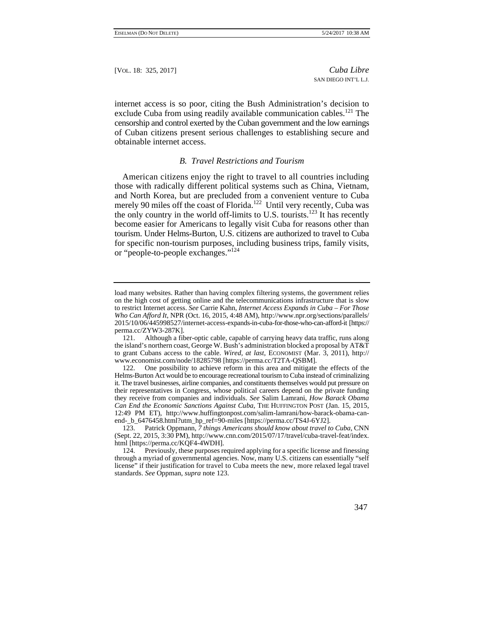internet access is so poor, citing the Bush Administration's decision to exclude Cuba from using readily available communication cables.<sup>121</sup> The censorship and control exerted by the Cuban government and the low earnings of Cuban citizens present serious challenges to establishing secure and obtainable internet access.

#### *B. Travel Restrictions and Tourism*

 tourism. Under Helms-Burton, U.S. citizens are authorized to travel to Cuba for specific non-tourism purposes, including business trips, family visits, American citizens enjoy the right to travel to all countries including those with radically different political systems such as China, Vietnam, and North Korea, but are precluded from a convenient venture to Cuba merely 90 miles off the coast of Florida.<sup>122</sup> Until very recently, Cuba was the only country in the world off-limits to U.S. tourists.<sup>123</sup> It has recently become easier for Americans to legally visit Cuba for reasons other than or "people-to-people exchanges."124

 license" if their justification for travel to Cuba meets the new, more relaxed legal travel 124. Previously, these purposes required applying for a specific license and finessing through a myriad of governmental agencies. Now, many U.S. citizens can essentially "self standards. *See* Oppman, *supra* note 123.



load many websites. Rather than having complex filtering systems, the government relies on the high cost of getting online and the telecommunications infrastructure that is slow to restrict Internet access. *See* Carrie Kahn, *Internet Access Expands in Cuba – For Those Who Can Afford It*, NPR (Oct. 16, 2015, 4:48 AM), http://www.npr.org/sections/parallels/ 2015/10/06/445998527/internet-access-expands-in-cuba-for-those-who-can-afford-it [https:// perma.cc/ZYW3-287K].

<sup>121.</sup> Although a fiber-optic cable, capable of carrying heavy data traffic, runs along the island's northern coast, George W. Bush's administration blocked a proposal by AT&T to grant Cubans access to the cable. *Wired, at last*, ECONOMIST (Mar. 3, 2011), http:// www.economist.com/node/18285798 [https://perma.cc/T2TA-QSBM].

 it. The travel businesses, airline companies, and constituents themselves would put pressure on 122. One possibility to achieve reform in this area and mitigate the effects of the Helms-Burton Act would be to encourage recreational tourism to Cuba instead of criminalizing their representatives in Congress, whose political careers depend on the private funding they receive from companies and individuals. *See* Salim Lamrani, *How Barack Obama Can End the Economic Sanctions Against Cuba*, THE HUFFINGTON POST (Jan. 15, 2015, 12:49 PM ET), http://www.huffingtonpost.com/salim-lamrani/how-barack-obama-canend- b\_6476458.html?utm\_hp\_ref=90-miles [https://perma.cc/TS4J-6YJ2].

<sup>123.</sup> Patrick Oppmann, *7 things Americans should know about travel to Cuba*, CNN (Sept. 22, 2015, 3:30 PM), http://www.cnn.com/2015/07/17/travel/cuba-travel-feat/index. html [https://perma.cc/KQF4-4WDH].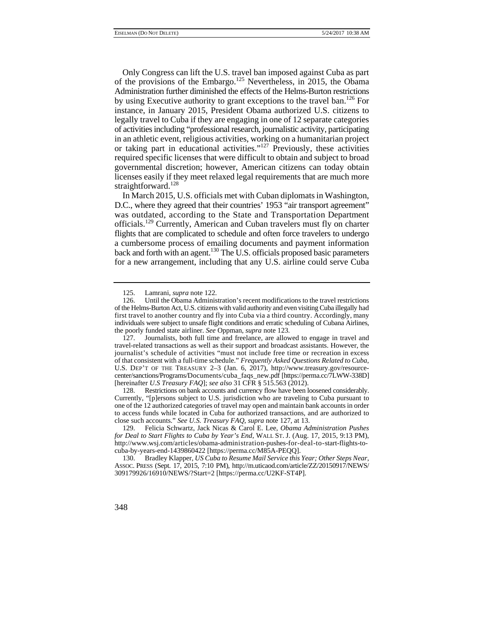licenses easily if they meet relaxed legal requirements that are much more Only Congress can lift the U.S. travel ban imposed against Cuba as part of the provisions of the Embargo.<sup>125</sup> Nevertheless, in 2015, the Obama Administration further diminished the effects of the Helms-Burton restrictions by using Executive authority to grant exceptions to the travel ban.<sup>126</sup> For instance, in January 2015, President Obama authorized U.S. citizens to legally travel to Cuba if they are engaging in one of 12 separate categories of activities including "professional research, journalistic activity, participating in an athletic event, religious activities, working on a humanitarian project or taking part in educational activities."127 Previously, these activities required specific licenses that were difficult to obtain and subject to broad governmental discretion; however, American citizens can today obtain straightforward.<sup>128</sup>

 flights that are complicated to schedule and often force travelers to undergo In March 2015, U.S. officials met with Cuban diplomats in Washington, D.C., where they agreed that their countries' 1953 "air transport agreement" was outdated, according to the State and Transportation Department officials.129 Currently, American and Cuban travelers must fly on charter a cumbersome process of emailing documents and payment information back and forth with an agent.<sup>130</sup> The U.S. officials proposed basic parameters for a new arrangement, including that any U.S. airline could serve Cuba

128. Restrictions on bank accounts and currency flow have been loosened considerably. Currently, "[p]ersons subject to U.S. jurisdiction who are traveling to Cuba pursuant to one of the 12 authorized categories of travel may open and maintain bank accounts in order to access funds while located in Cuba for authorized transactions, and are authorized to close such accounts." *See U.S. Treasury FAQ*, *supra* note 127, at 13.

 130. Bradley Klapper, *US Cuba to Resume Mail Service this Year; Other Steps Near*, ASSOC. PRESS (Sept. 17, 2015, 7:10 PM), http://m.uticaod.com/article/ZZ/20150917/NEWS/ 309179926/16910/NEWS/?Start=2 [https://perma.cc/U2KF-ST4P].



<sup>125.</sup> Lamrani, *supra* note 122.

 of the Helms-Burton Act, U.S. citizens with valid authority and even visiting Cuba illegally had first travel to another country and fly into Cuba via a third country. Accordingly, many Until the Obama Administration's recent modifications to the travel restrictions individuals were subject to unsafe flight conditions and erratic scheduling of Cubana Airlines, the poorly funded state airliner. *See* Oppman, *supra* note 123.

 journalist's schedule of activities "must not include free time or recreation in excess of that consistent with a full-time schedule." *Frequently Asked Questions Related to Cuba*, 127. Journalists, both full time and freelance, are allowed to engage in travel and travel-related transactions as well as their support and broadcast assistants. However, the U.S. DEP'T OF THE TREASURY 2–3 (Jan. 6, 2017), http://www.treasury.gov/resourcecenter/sanctions/Programs/Documents/cuba\_faqs\_new.pdf [https://perma.cc/7LWW-338D] [hereinafter *U.S Treasury FAQ*]; *see also* 31 CFR § 515.563 (2012).

<sup>129.</sup> Felicia Schwartz, Jack Nicas & Carol E. Lee, *Obama Administration Pushes for Deal to Start Flights to Cuba by Year's End*, WALL ST. J. (Aug. 17, 2015, 9:13 PM), http://www.wsj.com/articles/obama-administration-pushes-for-deal-to-start-flights-tocuba-by-years-end-1439860422 [https://perma.cc/M85A-PEQQ].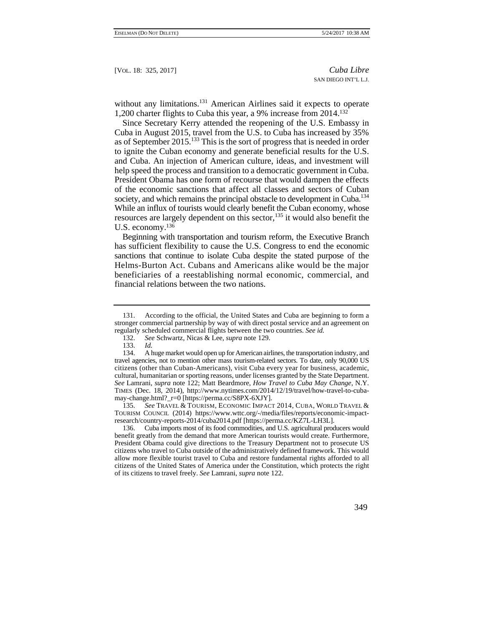without any limitations.<sup>131</sup> American Airlines said it expects to operate 1,200 charter flights to Cuba this year, a 9% increase from 2014.132

 While an influx of tourists would clearly benefit the Cuban economy, whose Since Secretary Kerry attended the reopening of the U.S. Embassy in Cuba in August 2015, travel from the U.S. to Cuba has increased by 35% as of September 2015.133 This is the sort of progress that is needed in order to ignite the Cuban economy and generate beneficial results for the U.S. and Cuba. An injection of American culture, ideas, and investment will help speed the process and transition to a democratic government in Cuba. President Obama has one form of recourse that would dampen the effects of the economic sanctions that affect all classes and sectors of Cuban society, and which remains the principal obstacle to development in Cuba.<sup>134</sup> resources are largely dependent on this sector, $135$  it would also benefit the U.S. economy.136

 sanctions that continue to isolate Cuba despite the stated purpose of the Helms-Burton Act. Cubans and Americans alike would be the major Beginning with transportation and tourism reform, the Executive Branch has sufficient flexibility to cause the U.S. Congress to end the economic beneficiaries of a reestablishing normal economic, commercial, and financial relations between the two nations.

 135. *See* TRAVEL & TOURISM, ECONOMIC IMPACT 2014, CUBA, WORLD TRAVEL & TOURISM COUNCIL (2014) https://www.wttc.org/-/media/files/reports/economic-impactresearch/country-reports-2014/cuba2014.pdf [https://perma.cc/KZ7L-LH3L].

 citizens who travel to Cuba outside of the administratively defined framework. This would 136. Cuba imports most of its food commodities, and U.S. agricultural producers would benefit greatly from the demand that more American tourists would create. Furthermore, President Obama could give directions to the Treasury Department not to prosecute US allow more flexible tourist travel to Cuba and restore fundamental rights afforded to all citizens of the United States of America under the Constitution, which protects the right of its citizens to travel freely. *See* Lamrani, *supra* note 122.

 stronger commercial partnership by way of with direct postal service and an agreement on 131. According to the official, the United States and Cuba are beginning to form a regularly scheduled commercial flights between the two countries. *See id.* 

<sup>132.</sup> *See* Schwartz, Nicas & Lee, *supra* note 129.

<sup>133.</sup> *Id.* 

<sup>134.</sup> A huge market would open up for American airlines, the transportation industry, and travel agencies, not to mention other mass tourism-related sectors. To date, only 90,000 US citizens (other than Cuban-Americans), visit Cuba every year for business, academic, cultural, humanitarian or sporting reasons, under licenses granted by the State Department. *See* Lamrani, *supra* note 122; Matt Beardmore, *How Travel to Cuba May Change*, N.Y. TIMES (Dec. 18, 2014), http://www.nytimes.com/2014/12/19/travel/how-travel-to-cubamay-change.html?\_r=0 [https://perma.cc/S8PX-6XJY].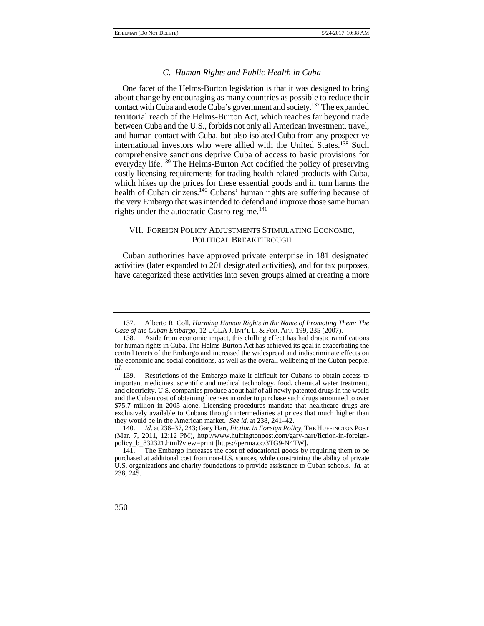# *C. Human Rights and Public Health in Cuba*

contact with Cuba and erode Cuba's government and society.<sup>137</sup> The expanded One facet of the Helms-Burton legislation is that it was designed to bring about change by encouraging as many countries as possible to reduce their territorial reach of the Helms-Burton Act, which reaches far beyond trade between Cuba and the U.S., forbids not only all American investment, travel, and human contact with Cuba, but also isolated Cuba from any prospective international investors who were allied with the United States.138 Such comprehensive sanctions deprive Cuba of access to basic provisions for everyday life.<sup>139</sup> The Helms-Burton Act codified the policy of preserving costly licensing requirements for trading health-related products with Cuba, which hikes up the prices for these essential goods and in turn harms the health of Cuban citizens.<sup>140</sup> Cubans' human rights are suffering because of the very Embargo that was intended to defend and improve those same human rights under the autocratic Castro regime.<sup>141</sup>

# VII. FOREIGN POLICY ADJUSTMENTS STIMULATING ECONOMIC, POLITICAL BREAKTHROUGH

Cuban authorities have approved private enterprise in 181 designated activities (later expanded to 201 designated activities), and for tax purposes, have categorized these activities into seven groups aimed at creating a more

 *Case of the Cuban Embargo*, 12 UCLA J. INT'L L. & FOR. AFF. 199, 235 (2007). 137. Alberto R. Coll, *Harming Human Rights in the Name of Promoting Them: The* 

<sup>138.</sup> Aside from economic impact, this chilling effect has had drastic ramifications for human rights in Cuba. The Helms-Burton Act has achieved its goal in exacerbating the central tenets of the Embargo and increased the widespread and indiscriminate effects on the economic and social conditions, as well as the overall wellbeing of the Cuban people. *Id.* 139.

 and electricity. U.S. companies produce about half of all newly patented drugs in the world Restrictions of the Embargo make it difficult for Cubans to obtain access to important medicines, scientific and medical technology, food, chemical water treatment, and the Cuban cost of obtaining licenses in order to purchase such drugs amounted to over \$75.7 million in 2005 alone. Licensing procedures mandate that healthcare drugs are exclusively available to Cubans through intermediaries at prices that much higher than they would be in the American market. *See id.* at 238, 241–42.

<sup>140.</sup> *Id.* at 236–37, 243; Gary Hart, *Fiction in Foreign Policy*, THE HUFFINGTON POST (Mar. 7, 2011, 12:12 PM), http://www.huffingtonpost.com/gary-hart/fiction-in-foreignpolicy\_b\_832321.html?view=print [https://perma.cc/3TG9-N4TW].

 U.S. organizations and charity foundations to provide assistance to Cuban schools. *Id.* at 141. The Embargo increases the cost of educational goods by requiring them to be purchased at additional cost from non-U.S. sources, while constraining the ability of private 238, 245.

<sup>350</sup>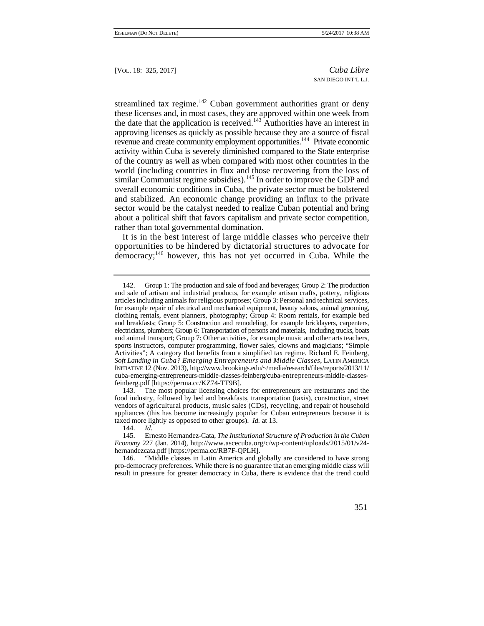streamlined tax regime.<sup>142</sup> Cuban government authorities grant or deny these licenses and, in most cases, they are approved within one week from the date that the application is received.143 Authorities have an interest in approving licenses as quickly as possible because they are a source of fiscal revenue and create community employment opportunities.<sup>144</sup> Private economic activity within Cuba is severely diminished compared to the State enterprise of the country as well as when compared with most other countries in the world (including countries in flux and those recovering from the loss of similar Communist regime subsidies).<sup>145</sup> In order to improve the GDP and overall economic conditions in Cuba, the private sector must be bolstered and stabilized. An economic change providing an influx to the private sector would be the catalyst needed to realize Cuban potential and bring about a political shift that favors capitalism and private sector competition, rather than total governmental domination.

It is in the best interest of large middle classes who perceive their opportunities to be hindered by dictatorial structures to advocate for democracy;146 however, this has not yet occurred in Cuba. While the

 vendors of agricultural products, music sales (CDs), recycling, and repair of household taxed more lightly as opposed to other groups). *Id.* at 13. 143. The most popular licensing choices for entrepreneurs are restaurants and the food industry, followed by bed and breakfasts, transportation (taxis), construction, street appliances (this has become increasingly popular for Cuban entrepreneurs because it is

<sup>&</sup>quot;Middle classes in Latin America and globally are considered to have strong pro-democracy preferences. While there is no guarantee that an emerging middle class will result in pressure for greater democracy in Cuba, there is evidence that the trend could



 for example repair of electrical and mechanical equipment, beauty salons, animal grooming, and animal transport; Group 7: Other activities, for example music and other arts teachers, 142. Group 1: The production and sale of food and beverages; Group 2: The production and sale of artisan and industrial products, for example artisan crafts, pottery, religious articles including animals for religious purposes; Group 3: Personal and technical services, clothing rentals, event planners, photography; Group 4: Room rentals, for example bed and breakfasts; Group 5: Construction and remodeling, for example bricklayers, carpenters, electricians, plumbers; Group 6: Transportation of persons and materials, including trucks, boats sports instructors, computer programming, flower sales, clowns and magicians; "Simple Activities"; A category that benefits from a simplified tax regime. Richard E. Feinberg, *Soft Landing in Cuba? Emerging Entrepreneurs and Middle Classes*, LATIN AMERICA INITIATIVE 12 (Nov. 2013), http://www.brookings.edu/~/media/research/files/reports/2013/11/ cuba-emerging-entrepreneurs-middle-classes-feinberg/cuba-entrepreneurs-middle-classesfeinberg.pdf [https://perma.cc/KZ74-TT9B].

<sup>144.</sup> *Id.*

 145. Ernesto Hernandez-Cata, *The Institutional Structure of Production in the Cuban Economy* 227 (Jan. 2014), http://www.ascecuba.org/c/wp-content/uploads/2015/01/v24 hernandezcata.pdf [https://perma.cc/RB7F-QPLH].<br>146. "Middle classes in Latin America and g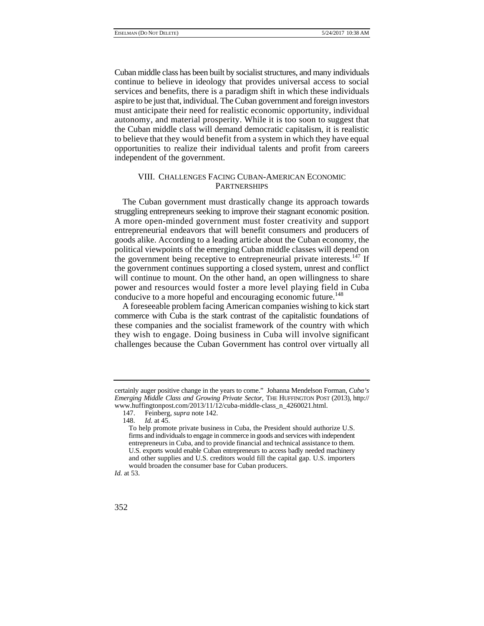to believe that they would benefit from a system in which they have equal Cuban middle class has been built by socialist structures, and many individuals continue to believe in ideology that provides universal access to social services and benefits, there is a paradigm shift in which these individuals aspire to be just that, individual. The Cuban government and foreign investors must anticipate their need for realistic economic opportunity, individual autonomy, and material prosperity. While it is too soon to suggest that the Cuban middle class will demand democratic capitalism, it is realistic opportunities to realize their individual talents and profit from careers independent of the government.

# VIII. CHALLENGES FACING CUBAN-AMERICAN ECONOMIC PARTNERSHIPS

The Cuban government must drastically change its approach towards struggling entrepreneurs seeking to improve their stagnant economic position. A more open-minded government must foster creativity and support entrepreneurial endeavors that will benefit consumers and producers of goods alike. According to a leading article about the Cuban economy, the political viewpoints of the emerging Cuban middle classes will depend on the government being receptive to entrepreneurial private interests.<sup>147</sup> If the government continues supporting a closed system, unrest and conflict will continue to mount. On the other hand, an open willingness to share power and resources would foster a more level playing field in Cuba conducive to a more hopeful and encouraging economic future.<sup>148</sup>

 they wish to engage. Doing business in Cuba will involve significant A foreseeable problem facing American companies wishing to kick start commerce with Cuba is the stark contrast of the capitalistic foundations of these companies and the socialist framework of the country with which challenges because the Cuban Government has control over virtually all

certainly auger positive change in the years to come." Johanna Mendelson Forman, *Cuba's Emerging Middle Class and Growing Private Sector*, THE HUFFINGTON POST (2013), http:// www.huffingtonpost.com/2013/11/12/cuba-middle-class\_n\_4260021.html.

<sup>147.</sup> Feinberg, *supra* note 142.

*Id.* at 45.

 U.S. exports would enable Cuban entrepreneurs to access badly needed machinery To help promote private business in Cuba, the President should authorize U.S. firms and individuals to engage in commerce in goods and services with independent entrepreneurs in Cuba, and to provide financial and technical assistance to them. and other supplies and U.S. creditors would fill the capital gap. U.S. importers would broaden the consumer base for Cuban producers.

*Id.* at 53.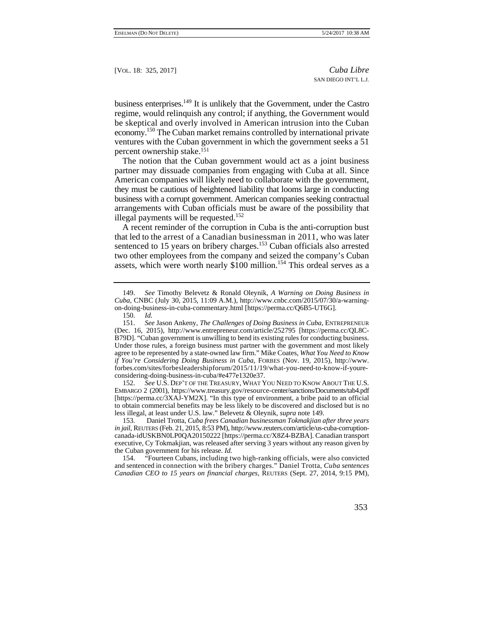business enterprises. $149$  It is unlikely that the Government, under the Castro regime, would relinquish any control; if anything, the Government would be skeptical and overly involved in American intrusion into the Cuban economy.<sup>150</sup> The Cuban market remains controlled by international private ventures with the Cuban government in which the government seeks a 51 percent ownership stake.151

The notion that the Cuban government would act as a joint business partner may dissuade companies from engaging with Cuba at all. Since American companies will likely need to collaborate with the government, they must be cautious of heightened liability that looms large in conducting business with a corrupt government. American companies seeking contractual arrangements with Cuban officials must be aware of the possibility that illegal payments will be requested.<sup>152</sup>

 that led to the arrest of a Canadian businessman in 2011, who was later A recent reminder of the corruption in Cuba is the anti-corruption bust sentenced to 15 years on bribery charges.<sup>153</sup> Cuban officials also arrested two other employees from the company and seized the company's Cuban assets, which were worth nearly  $$100$  million.<sup>154</sup> This ordeal serves as a

152. *See* U.S. DEP'T OF THE TREASURY, WHAT YOU NEED TO KNOW ABOUT THE U.S. EMBARGO 2 (2001), https://www.treasury.gov/resource-center/sanctions/Documents/tab4.pdf [https://perma.cc/3XAJ-YM2X]. "In this type of environment, a bribe paid to an official to obtain commercial benefits may be less likely to be discovered and disclosed but is no less illegal, at least under U.S. law." Belevetz & Oleynik, *supra* note 149.

 *in jail*, REUTERS (Feb. 21, 2015, 8:53 PM), http://www.reuters.com/article/us-cuba-corruption-153. Daniel Trotta, *Cuba frees Canadian businessman Tokmakjian after three years*  canada-idUSKBN0LP0QA20150222 [https://perma.cc/X8Z4-BZBA]. Canadian transport executive, Cy Tokmakjian, was released after serving 3 years without any reason given by the Cuban government for his release. *Id.* 154. "Fourteen Cubans, including to

"Fourteen Cubans, including two high-ranking officials, were also convicted and sentenced in connection with the bribery charges." Daniel Trotta, *Cuba sentences Canadian CEO to 15 years on financial charges*, REUTERS (Sept. 27, 2014, 9:15 PM),

 <sup>149.</sup> *See* Timothy Belevetz & Ronald Oleynik, *A Warning on Doing Business in Cuba*, CNBC (July 30, 2015, 11:09 A.M.), http://www.cnbc.com/2015/07/30/a-warningon-doing-business-in-cuba-commentary.html [https://perma.cc/Q6B5-UT6G].

<sup>150.</sup> *Id.*

 <sup>151.</sup> *See* Jason Ankeny, *The Challenges of Doing Business in Cuba*, ENTREPRENEUR (Dec. 16, 2015), http://www.entrepreneur.com/article/252795 [https://perma.cc/QL8C-B79D]. "Cuban government is unwilling to bend its existing rules for conducting business. Under those rules, a foreign business must partner with the government and most likely agree to be represented by a state-owned law firm." Mike Coates, *What You Need to Know if You're Considering Doing Business in Cuba*, FORBES (Nov. 19, 2015), http://www. forbes.com/sites/forbesleadershipforum/2015/11/19/what-you-need-to-know-if-youreconsidering-doing-business-in-cuba/#e477e1320e37.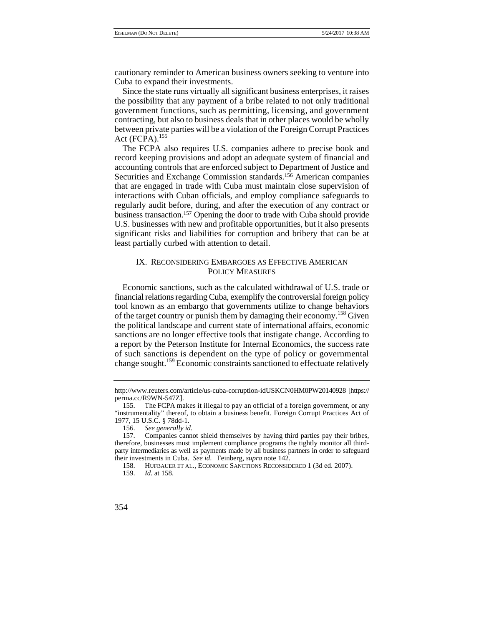cautionary reminder to American business owners seeking to venture into Cuba to expand their investments.

Since the state runs virtually all significant business enterprises, it raises the possibility that any payment of a bribe related to not only traditional government functions, such as permitting, licensing, and government contracting, but also to business deals that in other places would be wholly between private parties will be a violation of the Foreign Corrupt Practices Act  $(FCPA).<sup>155</sup>$ 

The FCPA also requires U.S. companies adhere to precise book and record keeping provisions and adopt an adequate system of financial and accounting controls that are enforced subject to Department of Justice and Securities and Exchange Commission standards.156 American companies that are engaged in trade with Cuba must maintain close supervision of interactions with Cuban officials, and employ compliance safeguards to regularly audit before, during, and after the execution of any contract or business transaction.157 Opening the door to trade with Cuba should provide U.S. businesses with new and profitable opportunities, but it also presents significant risks and liabilities for corruption and bribery that can be at least partially curbed with attention to detail.

# IX. RECONSIDERING EMBARGOES AS EFFECTIVE AMERICAN POLICY MEASURES

 financial relations regarding Cuba, exemplify the controversial foreign policy Economic sanctions, such as the calculated withdrawal of U.S. trade or tool known as an embargo that governments utilize to change behaviors of the target country or punish them by damaging their economy.158 Given the political landscape and current state of international affairs, economic sanctions are no longer effective tools that instigate change. According to a report by the Peterson Institute for Internal Economics, the success rate of such sanctions is dependent on the type of policy or governmental change sought.159 Economic constraints sanctioned to effectuate relatively

http://www.reuters.com/article/us-cuba-corruption-idUSKCN0HM0PW20140928 [https:// perma.cc/R9WN-547Z].

<sup>155.</sup> The FCPA makes it illegal to pay an official of a foreign government, or any "instrumentality" thereof, to obtain a business benefit. Foreign Corrupt Practices Act of 1977, 15 U.S.C. § 78dd-1.

<sup>156.</sup> *See generally id.* 

 party intermediaries as well as payments made by all business partners in order to safeguard 157. Companies cannot shield themselves by having third parties pay their bribes, therefore, businesses must implement compliance programs the tightly monitor all thirdtheir investments in Cuba. *See id*. Feinberg, *supra* note 142.

<sup>158.</sup> HUFBAUER ET AL., ECONOMIC SANCTIONS RECONSIDERED 1 (3d ed. 2007).

<sup>159.</sup> *Id.* at 158.

<sup>354</sup>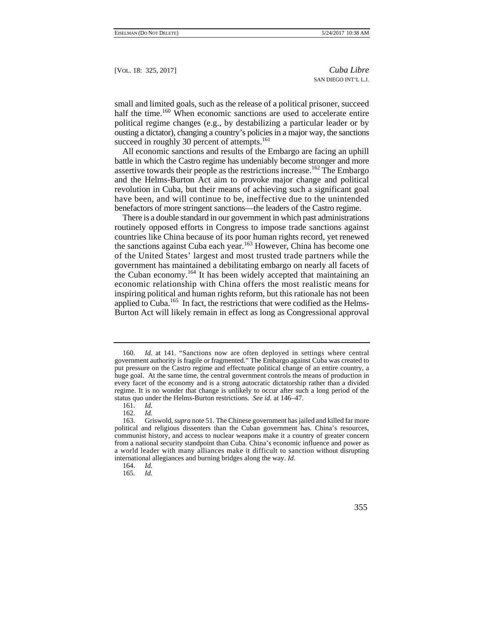small and limited goals, such as the release of a political prisoner, succeed half the time.<sup>160</sup> When economic sanctions are used to accelerate entire political regime changes (e.g., by destabilizing a particular leader or by ousting a dictator), changing a country's policies in a major way, the sanctions succeed in roughly 30 percent of attempts.<sup>161</sup>

All economic sanctions and results of the Embargo are facing an uphill battle in which the Castro regime has undeniably become stronger and more assertive towards their people as the restrictions increase.<sup>162</sup> The Embargo and the Helms-Burton Act aim to provoke major change and political revolution in Cuba, but their means of achieving such a significant goal have been, and will continue to be, ineffective due to the unintended benefactors of more stringent sanctions—the leaders of the Castro regime.

 of the United States' largest and most trusted trade partners while the economic relationship with China offers the most realistic means for There is a double standard in our government in which past administrations routinely opposed efforts in Congress to impose trade sanctions against countries like China because of its poor human rights record, yet renewed the sanctions against Cuba each year.<sup>163</sup> However, China has become one government has maintained a debilitating embargo on nearly all facets of the Cuban economy.<sup>164</sup> It has been widely accepted that maintaining an inspiring political and human rights reform, but this rationale has not been applied to Cuba.<sup>165</sup> In fact, the restrictions that were codified as the Helms-Burton Act will likely remain in effect as long as Congressional approval

<sup>160.</sup> *Id.* at 141. "Sanctions now are often deployed in settings where central government authority is fragile or fragmented." The Embargo against Cuba was created to put pressure on the Castro regime and effectuate political change of an entire country, a huge goal. At the same time, the central government controls the means of production in every facet of the economy and is a strong autocratic dictatorship rather than a divided regime. It is no wonder that change is unlikely to occur after such a long period of the status quo under the Helms-Burton restrictions. *See id.* at 146–47.

<sup>161.</sup> *Id.* 

 a world leader with many alliances make it difficult to sanction without disrupting 162. *Id.*  163. Griswold, *supra* note 51. The Chinese government has jailed and killed far more political and religious dissenters than the Cuban government has. China's resources, communist history, and access to nuclear weapons make it a country of greater concern from a national security standpoint than Cuba. China's economic influence and power as international allegiances and burning bridges along the way. *Id.* 

<sup>164.</sup> *Id.* 

<sup>165.</sup> *Id.*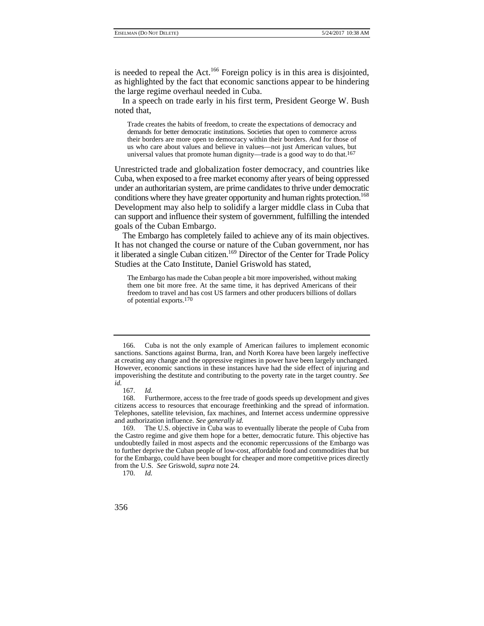is needed to repeal the Act.<sup>166</sup> Foreign policy is in this area is disjointed, as highlighted by the fact that economic sanctions appear to be hindering the large regime overhaul needed in Cuba.

In a speech on trade early in his first term, President George W. Bush noted that,

Trade creates the habits of freedom, to create the expectations of democracy and demands for better democratic institutions. Societies that open to commerce across their borders are more open to democracy within their borders. And for those of us who care about values and believe in values—not just American values, but universal values that promote human dignity—trade is a good way to do that.167

 can support and influence their system of government, fulfilling the intended Unrestricted trade and globalization foster democracy, and countries like Cuba, when exposed to a free market economy after years of being oppressed under an authoritarian system, are prime candidates to thrive under democratic conditions where they have greater opportunity and human rights protection.<sup>168</sup> Development may also help to solidify a larger middle class in Cuba that goals of the Cuban Embargo.

 The Embargo has completely failed to achieve any of its main objectives. It has not changed the course or nature of the Cuban government, nor has it liberated a single Cuban citizen.<sup>169</sup> Director of the Center for Trade Policy Studies at the Cato Institute, Daniel Griswold has stated,

 freedom to travel and has cost US farmers and other producers billions of dollars The Embargo has made the Cuban people a bit more impoverished, without making them one bit more free. At the same time, it has deprived Americans of their of potential exports.170

<sup>166.</sup> Cuba is not the only example of American failures to implement economic sanctions. Sanctions against Burma, Iran, and North Korea have been largely ineffective at creating any change and the oppressive regimes in power have been largely unchanged. However, economic sanctions in these instances have had the side effect of injuring and impoverishing the destitute and contributing to the poverty rate in the target country. *See id.*

 <sup>167.</sup> *Id.* 

 citizens access to resources that encourage freethinking and the spread of information. Furthermore, access to the free trade of goods speeds up development and gives Telephones, satellite television, fax machines, and Internet access undermine oppressive and authorization influence. *See generally id.* 

<sup>169.</sup> The U.S. objective in Cuba was to eventually liberate the people of Cuba from the Castro regime and give them hope for a better, democratic future. This objective has undoubtedly failed in most aspects and the economic repercussions of the Embargo was to further deprive the Cuban people of low-cost, affordable food and commodities that but for the Embargo, could have been bought for cheaper and more competitive prices directly from the U.S. *See* Griswold, *supra* note 24.

<sup>170.</sup> *Id.* 

<sup>356</sup>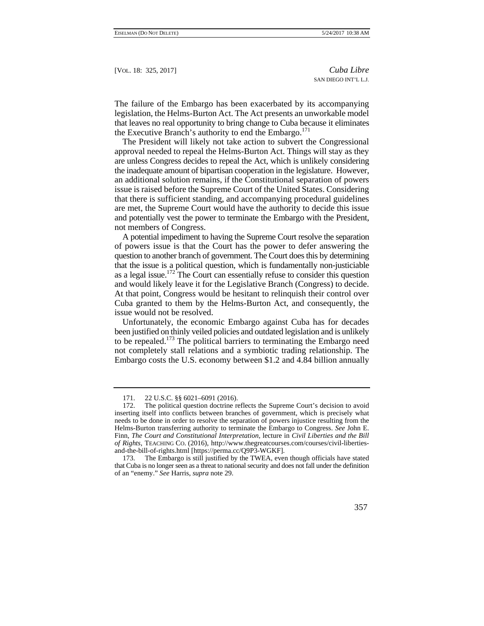The failure of the Embargo has been exacerbated by its accompanying legislation, the Helms-Burton Act. The Act presents an unworkable model that leaves no real opportunity to bring change to Cuba because it eliminates the Executive Branch's authority to end the Embargo. $^{171}$ 

 approval needed to repeal the Helms-Burton Act. Things will stay as they The President will likely not take action to subvert the Congressional are unless Congress decides to repeal the Act, which is unlikely considering the inadequate amount of bipartisan cooperation in the legislature. However, an additional solution remains, if the Constitutional separation of powers issue is raised before the Supreme Court of the United States. Considering that there is sufficient standing, and accompanying procedural guidelines are met, the Supreme Court would have the authority to decide this issue and potentially vest the power to terminate the Embargo with the President, not members of Congress.

A potential impediment to having the Supreme Court resolve the separation of powers issue is that the Court has the power to defer answering the question to another branch of government. The Court does this by determining that the issue is a political question, which is fundamentally non-justiciable as a legal issue.172 The Court can essentially refuse to consider this question and would likely leave it for the Legislative Branch (Congress) to decide. At that point, Congress would be hesitant to relinquish their control over Cuba granted to them by the Helms-Burton Act, and consequently, the issue would not be resolved.

Unfortunately, the economic Embargo against Cuba has for decades been justified on thinly veiled policies and outdated legislation and is unlikely to be repealed.<sup>173</sup> The political barriers to terminating the Embargo need not completely stall relations and a symbiotic trading relationship. The Embargo costs the U.S. economy between \$1.2 and 4.84 billion annually

 that Cuba is no longer seen as a threat to national security and does not fall under the definition The Embargo is still justified by the TWEA, even though officials have stated of an "enemy." *See* Harris, *supra* note 29.



<sup>171. 22</sup> U.S.C. §§ 6021–6091 (2016).

 Finn, *The Court and Constitutional Interpretation,* lecture in *Civil Liberties and the Bill*  172. The political question doctrine reflects the Supreme Court's decision to avoid inserting itself into conflicts between branches of government, which is precisely what needs to be done in order to resolve the separation of powers injustice resulting from the Helms-Burton transferring authority to terminate the Embargo to Congress. *See* John E. *of Rights*, TEACHING CO. (2016), http://www.thegreatcourses.com/courses/civil-libertiesand-the-bill-of-rights.html [https://perma.cc/Q9P3-WGKF].<br>173. The Embargo is still justified by the TWEA. even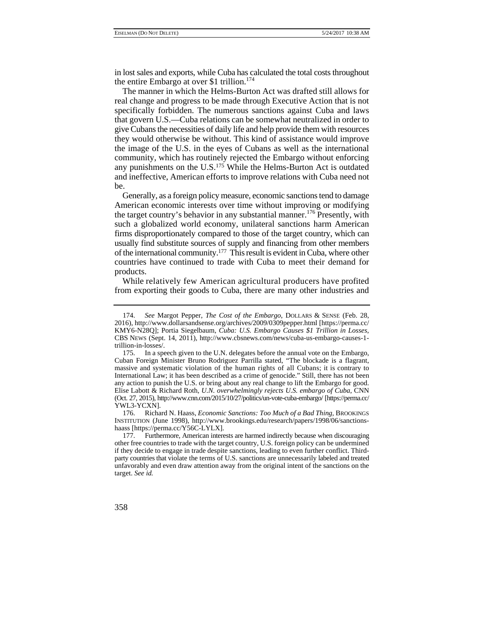in lost sales and exports, while Cuba has calculated the total costs throughout the entire Embargo at over \$1 trillion.<sup>174</sup>

The manner in which the Helms-Burton Act was drafted still allows for real change and progress to be made through Executive Action that is not specifically forbidden. The numerous sanctions against Cuba and laws that govern U.S.—Cuba relations can be somewhat neutralized in order to give Cubans the necessities of daily life and help provide them with resources they would otherwise be without. This kind of assistance would improve the image of the U.S. in the eyes of Cubans as well as the international community, which has routinely rejected the Embargo without enforcing any punishments on the U.S.175 While the Helms-Burton Act is outdated and ineffective, American efforts to improve relations with Cuba need not be.

 such a globalized world economy, unilateral sanctions harm American of the international community.177 This result is evident in Cuba, where other Generally, as a foreign policy measure, economic sanctions tend to damage American economic interests over time without improving or modifying the target country's behavior in any substantial manner.<sup>176</sup> Presently, with firms disproportionately compared to those of the target country, which can usually find substitute sources of supply and financing from other members countries have continued to trade with Cuba to meet their demand for products.

While relatively few American agricultural producers have profited from exporting their goods to Cuba, there are many other industries and

176. Richard N. Haass, *Economic Sanctions: Too Much of a Bad Thing,* BROOKINGS INSTITUTION (June 1998), http://www.brookings.edu/research/papers/1998/06/sanctionshaass [https://perma.cc/Y56C-LYLX].

 if they decide to engage in trade despite sanctions, leading to even further conflict. Third- party countries that violate the terms of U.S. sanctions are unnecessarily labeled and treated unfavorably and even draw attention away from the original intent of the sanctions on the 177. Furthermore, American interests are harmed indirectly because when discouraging other free countries to trade with the target country, U.S. foreign policy can be undermined target. *See id.* 



 <sup>174.</sup> *See* Margot Pepper, *The Cost of the Embargo*, DOLLARS & SENSE (Feb. 28, 2016), http://www.dollarsandsense.org/archives/2009/0309pepper.html [https://perma.cc/ KMY6-N28Q]; Portia Siegelbaum, *Cuba: U.S. Embargo Causes \$1 Trillion in Losses*, CBS NEWS (Sept. 14, 2011), http://www.cbsnews.com/news/cuba-us-embargo-causes-1 trillion-in-losses/.

 massive and systematic violation of the human rights of all Cubans; it is contrary to International Law; it has been described as a crime of genocide." Still, there has not been 175. In a speech given to the U.N. delegates before the annual vote on the Embargo, Cuban Foreign Minister Bruno Rodriguez Parrilla stated, "The blockade is a flagrant, any action to punish the U.S. or bring about any real change to lift the Embargo for good. Elise Labott & Richard Roth, *U.N. overwhelmingly rejects U.S. embargo of Cuba*, CNN (Oct. 27, 2015), http://www.cnn.com/2015/10/27/politics/un-vote-cuba-embargo/ [https://perma.cc/ YWL3-YCXN].